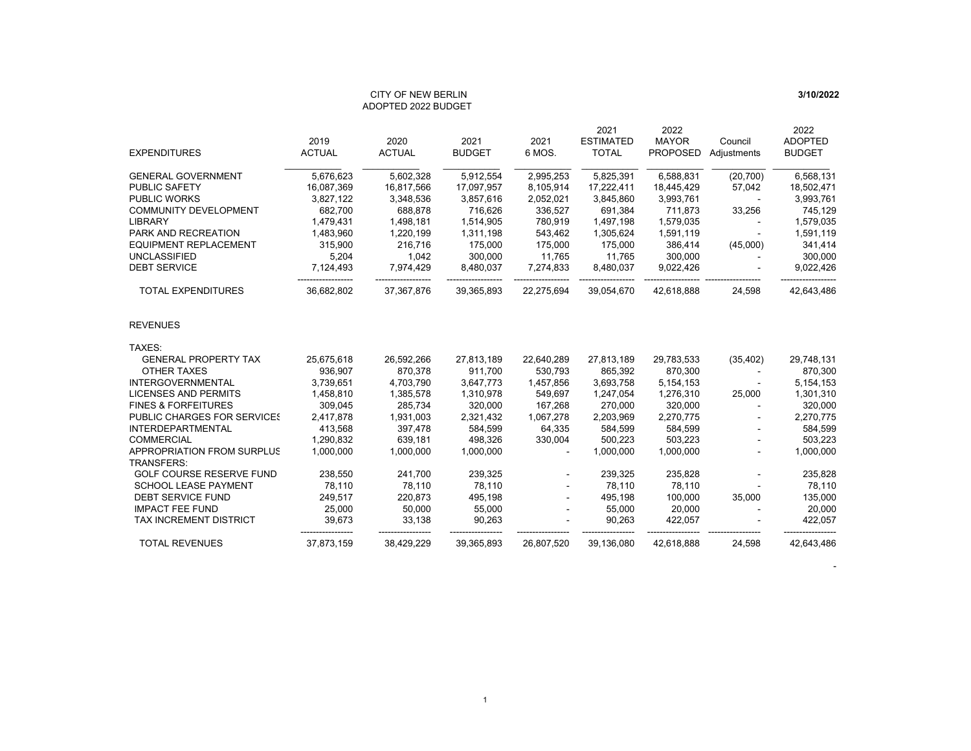# CITY OF NEW BERLINADOPTED 2022 BUDGET

|                                                        |               |               |               |            | 2021             | 2022            |             | 2022           |
|--------------------------------------------------------|---------------|---------------|---------------|------------|------------------|-----------------|-------------|----------------|
|                                                        | 2019          | 2020          | 2021          | 2021       | <b>ESTIMATED</b> | <b>MAYOR</b>    | Council     | <b>ADOPTED</b> |
| <b>EXPENDITURES</b>                                    | <b>ACTUAL</b> | <b>ACTUAL</b> | <b>BUDGET</b> | 6 MOS.     | <b>TOTAL</b>     | <b>PROPOSED</b> | Adjustments | <b>BUDGET</b>  |
| <b>GENERAL GOVERNMENT</b>                              | 5,676,623     | 5,602,328     | 5,912,554     | 2,995,253  | 5,825,391        | 6,588,831       | (20, 700)   | 6,568,131      |
| <b>PUBLIC SAFETY</b>                                   | 16,087,369    | 16,817,566    | 17,097,957    | 8,105,914  | 17,222,411       | 18,445,429      | 57,042      | 18,502,471     |
| <b>PUBLIC WORKS</b>                                    | 3,827,122     | 3,348,536     | 3,857,616     | 2,052,021  | 3,845,860        | 3,993,761       |             | 3,993,761      |
| <b>COMMUNITY DEVELOPMENT</b>                           | 682,700       | 688,878       | 716,626       | 336,527    | 691,384          | 711,873         | 33,256      | 745,129        |
| <b>LIBRARY</b>                                         | 1,479,431     | 1,498,181     | 1,514,905     | 780,919    | 1,497,198        | 1,579,035       |             | 1,579,035      |
| <b>PARK AND RECREATION</b>                             | 1,483,960     | 1,220,199     | 1,311,198     | 543,462    | 1,305,624        | 1,591,119       |             | 1,591,119      |
| <b>EQUIPMENT REPLACEMENT</b>                           | 315,900       | 216,716       | 175,000       | 175,000    | 175,000          | 386,414         | (45,000)    | 341,414        |
| <b>UNCLASSIFIED</b>                                    | 5,204         | 1,042         | 300,000       | 11,765     | 11,765           | 300,000         |             | 300,000        |
| <b>DEBT SERVICE</b>                                    | 7,124,493     | 7,974,429     | 8,480,037     | 7,274,833  | 8,480,037        | 9,022,426       |             | 9,022,426      |
| <b>TOTAL EXPENDITURES</b>                              | 36,682,802    | 37,367,876    | 39,365,893    | 22,275,694 | 39,054,670       | 42,618,888      | 24,598      | 42,643,486     |
| <b>REVENUES</b>                                        |               |               |               |            |                  |                 |             |                |
| TAXES:                                                 |               |               |               |            |                  |                 |             |                |
| <b>GENERAL PROPERTY TAX</b>                            | 25,675,618    | 26,592,266    | 27,813,189    | 22,640,289 | 27,813,189       | 29,783,533      | (35, 402)   | 29,748,131     |
| OTHER TAXES                                            | 936,907       | 870,378       | 911,700       | 530,793    | 865,392          | 870,300         |             | 870,300        |
| <b>INTERGOVERNMENTAL</b>                               | 3,739,651     | 4,703,790     | 3,647,773     | 1,457,856  | 3,693,758        | 5,154,153       |             | 5,154,153      |
| <b>LICENSES AND PERMITS</b>                            | 1,458,810     | 1,385,578     | 1,310,978     | 549,697    | 1,247,054        | 1,276,310       | 25,000      | 1,301,310      |
| <b>FINES &amp; FORFEITURES</b>                         | 309.045       | 285.734       | 320,000       | 167,268    | 270,000          | 320,000         |             | 320,000        |
| PUBLIC CHARGES FOR SERVICES                            | 2,417,878     | 1,931,003     | 2,321,432     | 1,067,278  | 2,203,969        | 2,270,775       |             | 2,270,775      |
| <b>INTERDEPARTMENTAL</b>                               | 413,568       | 397,478       | 584,599       | 64,335     | 584,599          | 584,599         |             | 584,599        |
| <b>COMMERCIAL</b>                                      | 1,290,832     | 639,181       | 498,326       | 330,004    | 500,223          | 503,223         |             | 503,223        |
| <b>APPROPRIATION FROM SURPLUS</b><br><b>TRANSFERS:</b> | 1,000,000     | 1,000,000     | 1,000,000     |            | 1,000,000        | 1,000,000       |             | 1,000,000      |
| <b>GOLF COURSE RESERVE FUND</b>                        | 238,550       | 241,700       | 239,325       |            | 239,325          | 235,828         |             | 235,828        |
| <b>SCHOOL LEASE PAYMENT</b>                            | 78,110        | 78,110        | 78,110        |            | 78,110           | 78,110          |             | 78,110         |
| <b>DEBT SERVICE FUND</b>                               | 249,517       | 220,873       | 495,198       |            | 495,198          | 100,000         | 35,000      | 135,000        |
| <b>IMPACT FEE FUND</b>                                 | 25,000        | 50,000        | 55,000        |            | 55,000           | 20,000          |             | 20,000         |
| <b>TAX INCREMENT DISTRICT</b>                          | 39,673        | 33,138        | 90,263        |            | 90,263           | 422,057         |             | 422,057        |
|                                                        |               |               |               |            |                  |                 |             |                |
| <b>TOTAL REVENUES</b>                                  | 37,873,159    | 38,429,229    | 39,365,893    | 26,807,520 | 39,136,080       | 42,618,888      | 24,598      | 42,643,486     |

-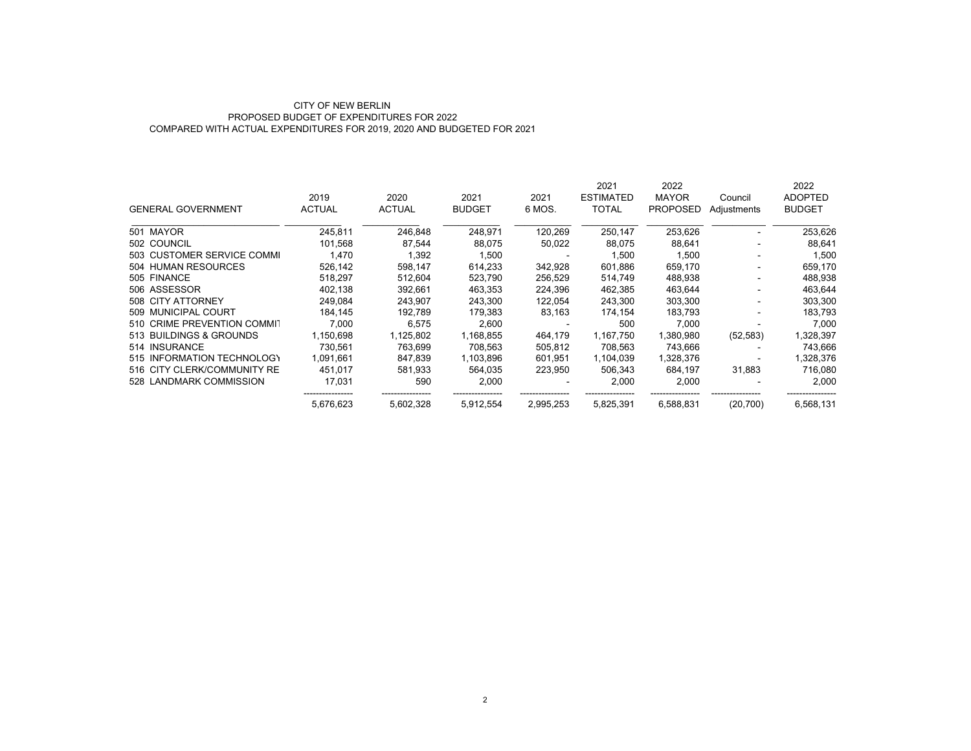### CITY OF NEW BERLIN PROPOSED BUDGET OF EXPENDITURES FOR 2022COMPARED WITH ACTUAL EXPENDITURES FOR 2019, 2020 AND BUDGETED FOR 2021

|                             |               |               |               |           | 2021             | 2022            |             | 2022           |
|-----------------------------|---------------|---------------|---------------|-----------|------------------|-----------------|-------------|----------------|
|                             | 2019          | 2020          | 2021          | 2021      | <b>ESTIMATED</b> | <b>MAYOR</b>    | Council     | <b>ADOPTED</b> |
| <b>GENERAL GOVERNMENT</b>   | <b>ACTUAL</b> | <b>ACTUAL</b> | <b>BUDGET</b> | 6 MOS.    | <b>TOTAL</b>     | <b>PROPOSED</b> | Adjustments | <b>BUDGET</b>  |
| 501 MAYOR                   | 245,811       | 246,848       | 248,971       | 120,269   | 250,147          | 253,626         |             | 253,626        |
| 502 COUNCIL                 | 101.568       | 87.544        | 88,075        | 50,022    | 88,075           | 88,641          |             | 88,641         |
| 503 CUSTOMER SERVICE COMMI  | 1,470         | 1,392         | 1,500         |           | 1,500            | 1,500           |             | 1,500          |
| 504 HUMAN RESOURCES         | 526,142       | 598,147       | 614,233       | 342,928   | 601,886          | 659,170         |             | 659,170        |
| 505 FINANCE                 | 518.297       | 512,604       | 523,790       | 256,529   | 514,749          | 488,938         |             | 488,938        |
| 506 ASSESSOR                | 402,138       | 392,661       | 463,353       | 224,396   | 462,385          | 463,644         |             | 463,644        |
| 508 CITY ATTORNEY           | 249,084       | 243,907       | 243,300       | 122,054   | 243,300          | 303,300         |             | 303,300        |
| 509 MUNICIPAL COURT         | 184.145       | 192.789       | 179.383       | 83,163    | 174,154          | 183,793         |             | 183,793        |
| 510 CRIME PREVENTION COMMIT | 7,000         | 6,575         | 2,600         |           | 500              | 7,000           |             | 7,000          |
| 513 BUILDINGS & GROUNDS     | 1.150.698     | 1.125.802     | 1.168.855     | 464.179   | 1,167,750        | 1.380.980       | (52, 583)   | 1,328,397      |
| 514 INSURANCE               | 730.561       | 763.699       | 708,563       | 505,812   | 708,563          | 743,666         |             | 743,666        |
| 515 INFORMATION TECHNOLOGY  | 1,091,661     | 847,839       | 1,103,896     | 601,951   | 1,104,039        | 1,328,376       |             | 1,328,376      |
| 516 CITY CLERK/COMMUNITY RE | 451.017       | 581.933       | 564.035       | 223,950   | 506.343          | 684.197         | 31,883      | 716,080        |
| 528 LANDMARK COMMISSION     | 17,031        | 590           | 2,000         |           | 2,000            | 2,000           |             | 2,000          |
|                             | 5,676,623     | 5,602,328     | 5,912,554     | 2,995,253 | 5,825,391        | 6,588,831       | (20, 700)   | 6,568,131      |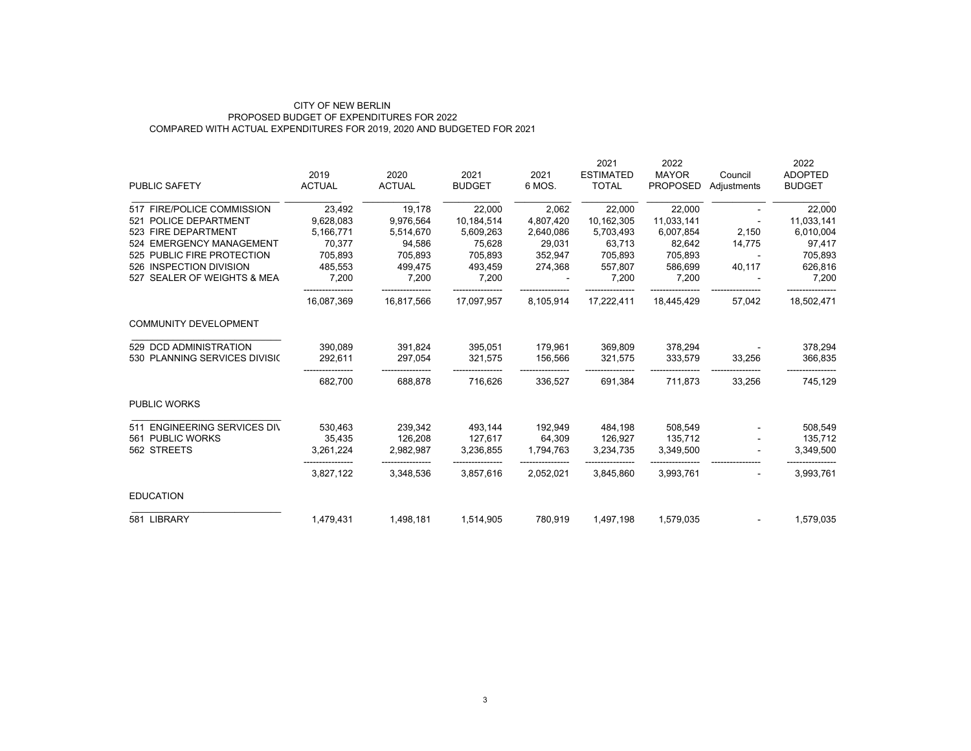### CITY OF NEW BERLIN PROPOSED BUDGET OF EXPENDITURES FOR 2022COMPARED WITH ACTUAL EXPENDITURES FOR 2019, 2020 AND BUDGETED FOR 2021

|                               | 2019          | 2020          | 2021          | 2021      | 2021<br><b>ESTIMATED</b> | 2022<br><b>MAYOR</b> |                        | 2022<br><b>ADOPTED</b> |
|-------------------------------|---------------|---------------|---------------|-----------|--------------------------|----------------------|------------------------|------------------------|
| PUBLIC SAFETY                 | <b>ACTUAL</b> | <b>ACTUAL</b> | <b>BUDGET</b> | 6 MOS.    | <b>TOTAL</b>             | <b>PROPOSED</b>      | Council<br>Adjustments | <b>BUDGET</b>          |
| 517 FIRE/POLICE COMMISSION    | 23,492        | 19,178        | 22,000        | 2,062     | 22,000                   | 22,000               |                        | 22,000                 |
| 521 POLICE DEPARTMENT         | 9,628,083     | 9,976,564     | 10,184,514    | 4,807,420 | 10,162,305               | 11,033,141           |                        | 11,033,141             |
| 523 FIRE DEPARTMENT           | 5,166,771     | 5,514,670     | 5,609,263     | 2,640,086 | 5,703,493                | 6,007,854            | 2,150                  | 6,010,004              |
| 524 EMERGENCY MANAGEMENT      | 70,377        | 94,586        | 75,628        | 29,031    | 63,713                   | 82,642               | 14,775                 | 97,417                 |
| 525 PUBLIC FIRE PROTECTION    | 705,893       | 705,893       | 705,893       | 352,947   | 705,893                  | 705,893              | $\sim$                 | 705,893                |
| 526 INSPECTION DIVISION       | 485,553       | 499,475       | 493.459       | 274,368   | 557.807                  | 586.699              | 40,117                 | 626,816                |
| 527 SEALER OF WEIGHTS & MEA   | 7,200         | 7,200         | 7,200         |           | 7,200                    | 7,200                |                        | 7,200                  |
|                               | 16,087,369    | 16,817,566    | 17,097,957    | 8,105,914 | 17,222,411               | 18,445,429           | 57,042                 | 18,502,471             |
| <b>COMMUNITY DEVELOPMENT</b>  |               |               |               |           |                          |                      |                        |                        |
| 529 DCD ADMINISTRATION        | 390,089       | 391,824       | 395,051       | 179,961   | 369,809                  | 378,294              |                        | 378,294                |
| 530 PLANNING SERVICES DIVISIO | 292,611       | 297.054       | 321.575       | 156.566   | 321,575                  | 333.579              | 33,256                 | 366,835                |
|                               | 682,700       | 688,878       | 716,626       | 336,527   | 691,384                  | 711.873              | 33,256                 | 745,129                |
| <b>PUBLIC WORKS</b>           |               |               |               |           |                          |                      |                        |                        |
| 511 ENGINEERING SERVICES DIV  | 530,463       | 239,342       | 493,144       | 192,949   | 484,198                  | 508,549              |                        | 508,549                |
| 561 PUBLIC WORKS              | 35,435        | 126,208       | 127,617       | 64,309    | 126,927                  | 135,712              |                        | 135,712                |
| 562 STREETS                   | 3,261,224     | 2,982,987     | 3,236,855     | 1,794,763 | 3,234,735                | 3,349,500            |                        | 3,349,500              |
|                               | 3,827,122     | 3,348,536     | 3,857,616     | 2,052,021 | 3,845,860                | 3,993,761            |                        | 3,993,761              |
| <b>EDUCATION</b>              |               |               |               |           |                          |                      |                        |                        |
| 581 LIBRARY                   | 1,479,431     | 1,498,181     | 1,514,905     | 780,919   | 1,497,198                | 1,579,035            |                        | 1,579,035              |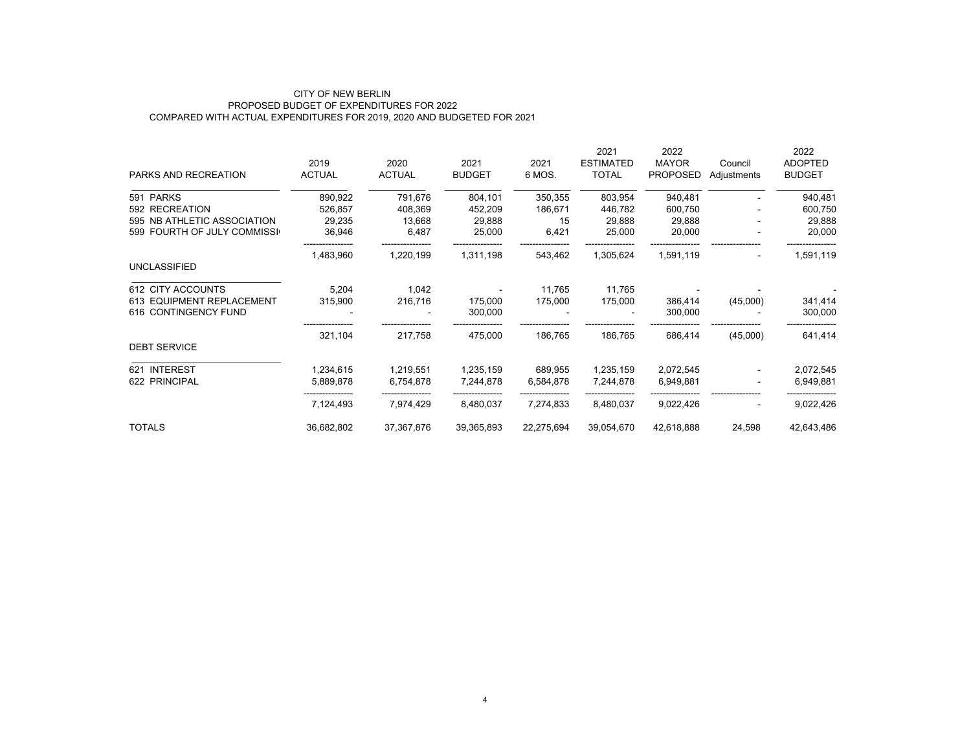## CITY OF NEW BERLIN PROPOSED BUDGET OF EXPENDITURES FOR 2022 COMPARED WITH ACTUAL EXPENDITURES FOR 2019, 2020 AND BUDGETED FOR 2021

|                             |               |               |               |            | 2021             | 2022            |                          | 2022           |
|-----------------------------|---------------|---------------|---------------|------------|------------------|-----------------|--------------------------|----------------|
|                             | 2019          | 2020          | 2021          | 2021       | <b>ESTIMATED</b> | <b>MAYOR</b>    | Council                  | <b>ADOPTED</b> |
| PARKS AND RECREATION        | <b>ACTUAL</b> | <b>ACTUAL</b> | <b>BUDGET</b> | 6 MOS.     | <b>TOTAL</b>     | <b>PROPOSED</b> | Adjustments              | <b>BUDGET</b>  |
| 591 PARKS                   | 890,922       | 791,676       | 804,101       | 350,355    | 803,954          | 940,481         |                          | 940,481        |
| 592 RECREATION              | 526,857       | 408,369       | 452,209       | 186,671    | 446,782          | 600,750         |                          | 600,750        |
| 595 NB ATHLETIC ASSOCIATION | 29,235        | 13,668        | 29,888        | 15         | 29,888           | 29,888          |                          | 29,888         |
| 599 FOURTH OF JULY COMMISSI | 36,946        | 6,487         | 25,000        | 6,421      | 25,000           | 20,000          | $\overline{\phantom{a}}$ | 20,000         |
|                             | 1,483,960     | 1,220,199     | 1,311,198     | 543,462    | 1,305,624        | 1,591,119       | $\blacksquare$           | 1,591,119      |
| <b>UNCLASSIFIED</b>         |               |               |               |            |                  |                 |                          |                |
| 612 CITY ACCOUNTS           | 5,204         | 1,042         |               | 11,765     | 11,765           |                 |                          |                |
| 613 EQUIPMENT REPLACEMENT   | 315,900       | 216,716       | 175,000       | 175,000    | 175,000          | 386,414         | (45,000)                 | 341,414        |
| 616 CONTINGENCY FUND        |               |               | 300,000       |            |                  | 300,000         |                          | 300,000        |
|                             | 321,104       | 217,758       | 475,000       | 186,765    | 186,765          | 686,414         | (45,000)                 | 641,414        |
| <b>DEBT SERVICE</b>         |               |               |               |            |                  |                 |                          |                |
| 621 INTEREST                | 1,234,615     | 1,219,551     | 1,235,159     | 689,955    | 1,235,159        | 2,072,545       |                          | 2,072,545      |
| 622 PRINCIPAL               | 5,889,878     | 6,754,878     | 7,244,878     | 6,584,878  | 7,244,878        | 6,949,881       |                          | 6,949,881      |
|                             | 7,124,493     | 7,974,429     | 8,480,037     | 7,274,833  | 8,480,037        | 9,022,426       |                          | 9,022,426      |
| <b>TOTALS</b>               | 36,682,802    | 37,367,876    | 39,365,893    | 22,275,694 | 39,054,670       | 42,618,888      | 24,598                   | 42,643,486     |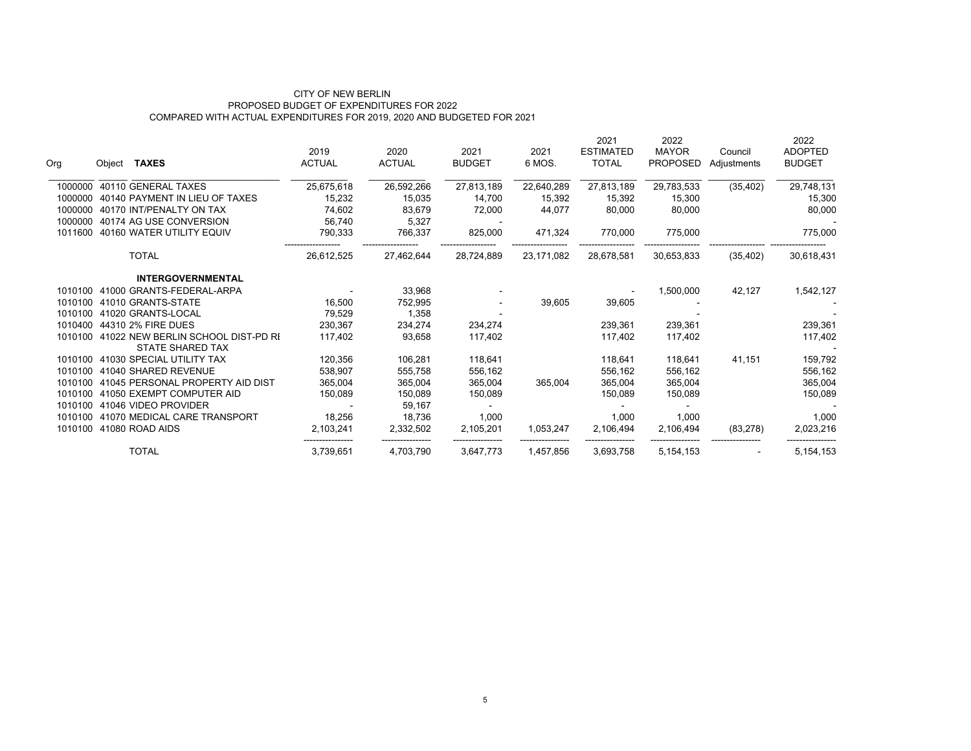## PROPOSED BUDGET OF EXPENDITURES FOR 2022 COMPARED WITH ACTUAL EXPENDITURES FOR 2019, 2020 AND BUDGETED FOR 2021 CITY OF NEW BERLIN

| Org     | Object <b>TAXES</b>                                           | 2019<br><b>ACTUAL</b> | 2020<br><b>ACTUAL</b> | 2021<br><b>BUDGET</b> | 2021<br>6 MOS. | 2021<br><b>ESTIMATED</b><br><b>TOTAL</b> | 2022<br><b>MAYOR</b><br><b>PROPOSED</b> | Council<br>Adjustments | 2022<br><b>ADOPTED</b><br><b>BUDGET</b> |
|---------|---------------------------------------------------------------|-----------------------|-----------------------|-----------------------|----------------|------------------------------------------|-----------------------------------------|------------------------|-----------------------------------------|
| 1000000 | 40110 GENERAL TAXES                                           | 25,675,618            | 26,592,266            | 27,813,189            | 22,640,289     | 27,813,189                               | 29,783,533                              | (35, 402)              | 29,748,131                              |
| 1000000 | 40140 PAYMENT IN LIEU OF TAXES                                | 15,232                | 15,035                | 14,700                | 15,392         | 15,392                                   | 15,300                                  |                        | 15,300                                  |
| 1000000 | 40170 INT/PENALTY ON TAX                                      | 74,602                | 83,679                | 72,000                | 44,077         | 80,000                                   | 80,000                                  |                        | 80,000                                  |
| 1000000 | 40174 AG USE CONVERSION                                       | 56,740                | 5,327                 |                       |                |                                          |                                         |                        |                                         |
| 1011600 | 40160 WATER UTILITY EQUIV                                     | 790,333               | 766,337               | 825,000               | 471,324        | 770,000                                  | 775,000                                 |                        | 775,000                                 |
|         | <b>TOTAL</b>                                                  | 26,612,525            | 27,462,644            | 28,724,889            | 23,171,082     | 28,678,581                               | 30,653,833                              | (35, 402)              | 30,618,431                              |
|         | <b>INTERGOVERNMENTAL</b>                                      |                       |                       |                       |                |                                          |                                         |                        |                                         |
| 1010100 | 41000 GRANTS-FEDERAL-ARPA                                     |                       | 33,968                |                       |                |                                          | 1,500,000                               | 42,127                 | 1,542,127                               |
| 1010100 | 41010 GRANTS-STATE                                            | 16,500                | 752,995               |                       | 39,605         | 39,605                                   |                                         |                        |                                         |
| 1010100 | 41020 GRANTS-LOCAL                                            | 79,529                | 1,358                 |                       |                |                                          |                                         |                        |                                         |
| 1010400 | 44310 2% FIRE DUES                                            | 230,367               | 234,274               | 234,274               |                | 239,361                                  | 239,361                                 |                        | 239,361                                 |
| 1010100 | 41022 NEW BERLIN SCHOOL DIST-PD RI<br><b>STATE SHARED TAX</b> | 117,402               | 93.658                | 117,402               |                | 117,402                                  | 117,402                                 |                        | 117,402                                 |
| 1010100 | 41030 SPECIAL UTILITY TAX                                     | 120,356               | 106,281               | 118,641               |                | 118,641                                  | 118,641                                 | 41,151                 | 159,792                                 |
| 1010100 | 41040 SHARED REVENUE                                          | 538,907               | 555,758               | 556,162               |                | 556,162                                  | 556,162                                 |                        | 556,162                                 |
| 1010100 | 41045 PERSONAL PROPERTY AID DIST                              | 365,004               | 365,004               | 365,004               | 365,004        | 365,004                                  | 365,004                                 |                        | 365,004                                 |
| 1010100 | 41050 EXEMPT COMPUTER AID                                     | 150,089               | 150,089               | 150,089               |                | 150.089                                  | 150,089                                 |                        | 150,089                                 |
| 1010100 | 41046 VIDEO PROVIDER                                          |                       | 59,167                |                       |                |                                          |                                         |                        |                                         |
| 1010100 | 41070 MEDICAL CARE TRANSPORT                                  | 18,256                | 18,736                | 1,000                 |                | 1,000                                    | 1,000                                   |                        | 1,000                                   |
| 1010100 | 41080 ROAD AIDS                                               | 2,103,241             | 2,332,502             | 2,105,201             | 1,053,247      | 2,106,494                                | 2,106,494                               | (83, 278)              | 2,023,216                               |
|         | <b>TOTAL</b>                                                  | 3,739,651             | 4,703,790             | 3,647,773             | 1,457,856      | 3,693,758                                | 5,154,153                               |                        | 5,154,153                               |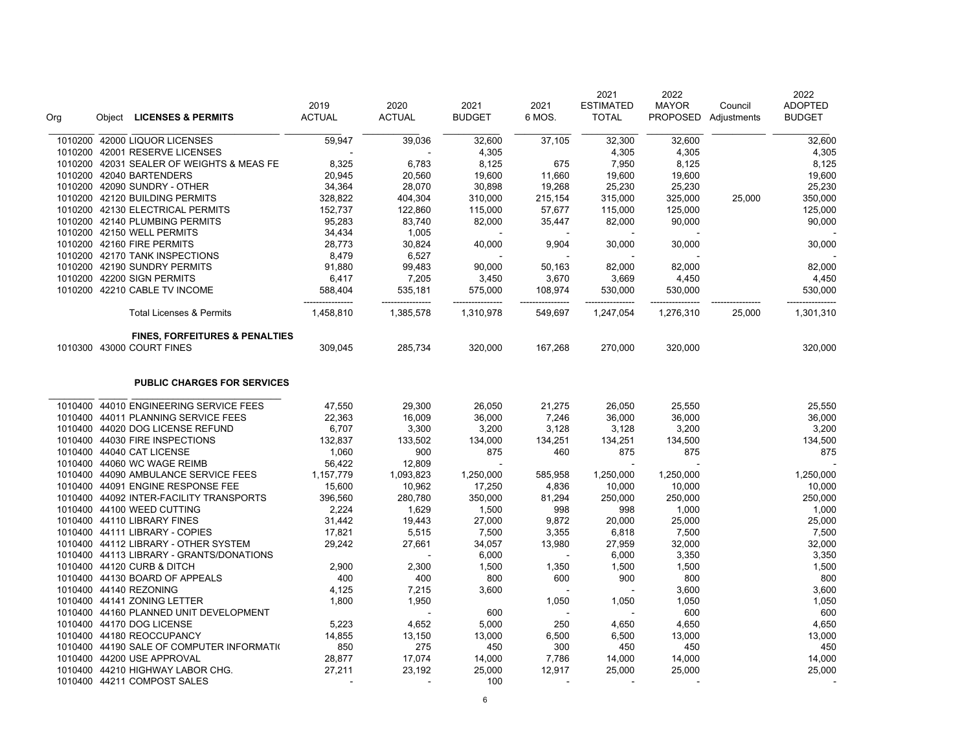| Org     | Object LICENSES & PERMITS                 | 2019<br><b>ACTUAL</b> | 2020<br><b>ACTUAL</b> | 2021<br><b>BUDGET</b> | 2021<br>6 MOS. | 2021<br><b>ESTIMATED</b><br><b>TOTAL</b> | 2022<br><b>MAYOR</b><br><b>PROPOSED</b> | Council<br>Adjustments | 2022<br><b>ADOPTED</b><br><b>BUDGET</b> |
|---------|-------------------------------------------|-----------------------|-----------------------|-----------------------|----------------|------------------------------------------|-----------------------------------------|------------------------|-----------------------------------------|
| 1010200 | 42000 LIQUOR LICENSES                     | 59,947                | 39,036                | 32,600                | 37,105         | 32,300                                   | 32,600                                  |                        | 32,600                                  |
|         | 1010200 42001 RESERVE LICENSES            |                       |                       | 4,305                 |                | 4,305                                    | 4,305                                   |                        | 4,305                                   |
|         | 1010200 42031 SEALER OF WEIGHTS & MEAS FE | 8,325                 | 6,783                 | 8,125                 | 675            | 7,950                                    | 8,125                                   |                        | 8,125                                   |
|         | 1010200 42040 BARTENDERS                  | 20,945                | 20,560                | 19,600                | 11,660         | 19,600                                   | 19,600                                  |                        | 19,600                                  |
|         | 1010200 42090 SUNDRY - OTHER              | 34,364                | 28,070                | 30,898                | 19,268         | 25,230                                   | 25,230                                  |                        | 25,230                                  |
|         | 1010200 42120 BUILDING PERMITS            | 328,822               | 404,304               | 310,000               | 215,154        | 315,000                                  | 325,000                                 | 25,000                 | 350,000                                 |
|         | 1010200 42130 ELECTRICAL PERMITS          | 152,737               | 122,860               | 115,000               | 57,677         | 115,000                                  | 125,000                                 |                        | 125,000                                 |
|         | 1010200 42140 PLUMBING PERMITS            | 95,283                | 83,740                | 82,000                | 35,447         | 82,000                                   | 90,000                                  |                        | 90,000                                  |
|         | 1010200 42150 WELL PERMITS                | 34,434                | 1,005                 |                       |                |                                          |                                         |                        |                                         |
|         | 1010200 42160 FIRE PERMITS                | 28,773                | 30,824                | 40,000                | 9,904          | 30,000                                   | 30,000                                  |                        | 30,000                                  |
|         | 1010200 42170 TANK INSPECTIONS            | 8,479                 | 6,527                 |                       |                |                                          |                                         |                        |                                         |
|         | 1010200 42190 SUNDRY PERMITS              | 91,880                | 99,483                | 90,000                | 50,163         | 82,000                                   | 82,000                                  |                        | 82,000                                  |
|         | 1010200 42200 SIGN PERMITS                | 6,417                 | 7,205                 | 3,450                 | 3,670          | 3,669                                    | 4,450                                   |                        | 4,450                                   |
|         | 1010200 42210 CABLE TV INCOME             | 588,404               | 535,181               | 575,000               | 108,974        | 530,000                                  | 530,000                                 |                        | 530,000                                 |
|         | <b>Total Licenses &amp; Permits</b>       | 1,458,810             | 1,385,578             | 1,310,978             | 549,697        | 1,247,054                                | 1,276,310                               | 25,000                 | 1,301,310                               |
|         | <b>FINES, FORFEITURES &amp; PENALTIES</b> |                       |                       |                       |                |                                          |                                         |                        |                                         |
|         | 1010300 43000 COURT FINES                 | 309,045               | 285,734               | 320,000               | 167,268        | 270,000                                  | 320,000                                 |                        | 320,000                                 |
|         | <b>PUBLIC CHARGES FOR SERVICES</b>        |                       |                       |                       |                |                                          |                                         |                        |                                         |
| 1010400 | 44010 ENGINEERING SERVICE FEES            | 47,550                | 29,300                | 26,050                | 21,275         | 26,050                                   | 25,550                                  |                        | 25,550                                  |
|         | 1010400 44011 PLANNING SERVICE FEES       | 22,363                | 16,009                | 36,000                | 7,246          | 36,000                                   | 36,000                                  |                        | 36,000                                  |
|         | 1010400 44020 DOG LICENSE REFUND          | 6,707                 | 3,300                 | 3,200                 | 3,128          | 3,128                                    | 3,200                                   |                        | 3,200                                   |
|         | 1010400 44030 FIRE INSPECTIONS            | 132,837               | 133,502               | 134,000               | 134,251        | 134,251                                  | 134,500                                 |                        | 134,500                                 |
|         | 1010400 44040 CAT LICENSE                 | 1,060                 | 900                   | 875                   | 460            | 875                                      | 875                                     |                        | 875                                     |
|         | 1010400 44060 WC WAGE REIMB               | 56,422                | 12,809                |                       |                |                                          |                                         |                        |                                         |
|         | 1010400 44090 AMBULANCE SERVICE FEES      | 1,157,779             | 1,093,823             | 1,250,000             | 585,958        | 1,250,000                                | 1,250,000                               |                        | 1,250,000                               |
|         | 1010400 44091 ENGINE RESPONSE FEE         | 15,600                | 10,962                | 17,250                | 4,836          | 10,000                                   | 10,000                                  |                        | 10,000                                  |
|         | 1010400 44092 INTER-FACILITY TRANSPORTS   | 396,560               | 280,780               | 350,000               | 81,294         | 250,000                                  | 250,000                                 |                        | 250,000                                 |
|         | 1010400 44100 WEED CUTTING                | 2,224                 | 1,629                 | 1,500                 | 998            | 998                                      | 1,000                                   |                        | 1,000                                   |
|         | 1010400 44110 LIBRARY FINES               | 31,442                | 19,443                | 27,000                | 9,872          | 20,000                                   | 25,000                                  |                        | 25,000                                  |
|         | 1010400  44111  LIBRARY - COPIES          | 17,821                | 5,515                 | 7,500                 | 3,355          | 6,818                                    | 7,500                                   |                        | 7,500                                   |
|         | 1010400 44112 LIBRARY - OTHER SYSTEM      | 29,242                | 27,661                | 34,057                | 13,980         | 27,959                                   | 32,000                                  |                        | 32,000                                  |
|         | 1010400 44113 LIBRARY - GRANTS/DONATIONS  |                       |                       | 6,000                 |                | 6,000                                    | 3,350                                   |                        | 3,350                                   |
|         | 1010400 44120 CURB & DITCH                | 2,900                 | 2,300                 | 1,500                 | 1,350          | 1,500                                    | 1,500                                   |                        | 1,500                                   |
|         | 1010400 44130 BOARD OF APPEALS            | 400                   | 400                   | 800                   | 600            | 900                                      | 800                                     |                        | 800                                     |
|         | 1010400 44140 REZONING                    | 4,125                 | 7,215                 | 3,600                 |                |                                          | 3,600                                   |                        | 3,600                                   |
|         | 1010400 44141 ZONING LETTER               | 1,800                 | 1,950                 |                       | 1,050          | 1,050                                    | 1,050                                   |                        | 1,050                                   |
|         | 1010400 44160 PLANNED UNIT DEVELOPMENT    |                       |                       | 600                   |                |                                          | 600                                     |                        | 600                                     |
|         | 1010400 44170 DOG LICENSE                 | 5,223                 | 4,652                 | 5,000                 | 250            | 4,650                                    | 4,650                                   |                        | 4,650                                   |
|         | 1010400 44180 REOCCUPANCY                 | 14,855                | 13,150                | 13,000                | 6,500          | 6,500                                    | 13,000                                  |                        | 13,000                                  |
|         | 1010400 44190 SALE OF COMPUTER INFORMATIO | 850                   | 275                   | 450                   | 300            | 450                                      | 450                                     |                        | 450                                     |
|         | 1010400 44200 USE APPROVAL                | 28,877                | 17,074                | 14,000                | 7,786          | 14,000                                   | 14,000                                  |                        | 14,000                                  |
|         | 1010400 44210 HIGHWAY LABOR CHG.          | 27,211                | 23,192                | 25,000                | 12,917         | 25,000                                   | 25,000                                  |                        | 25,000                                  |
|         | 1010400 44211 COMPOST SALES               |                       |                       | 100                   |                |                                          |                                         |                        |                                         |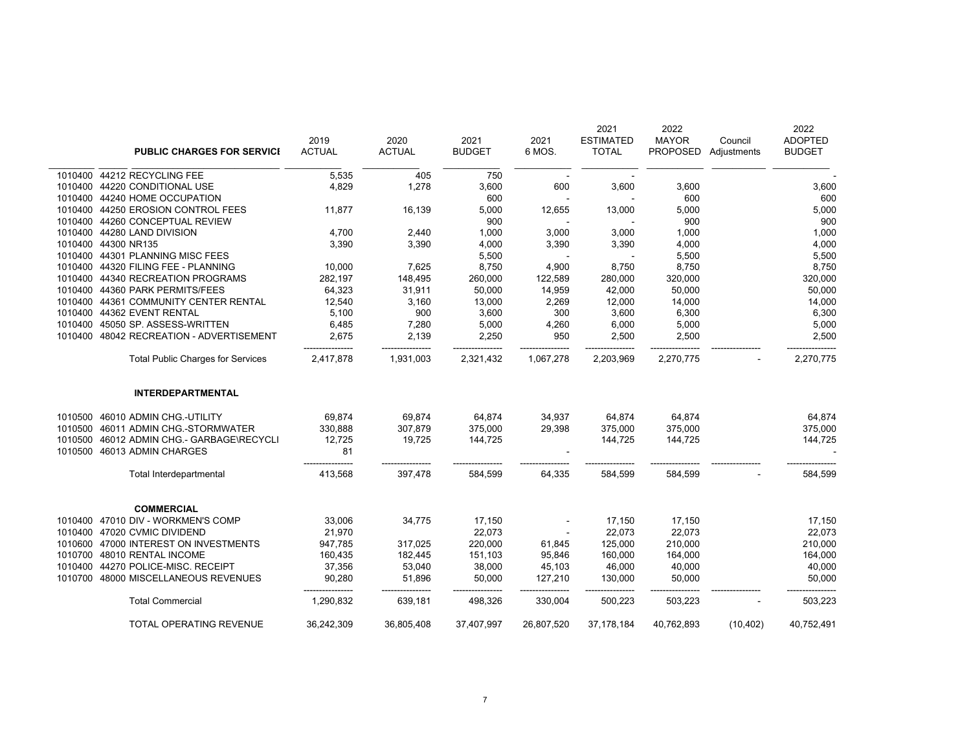| <b>PUBLIC CHARGES FOR SERVICE</b>         | 2019<br><b>ACTUAL</b> | 2020<br><b>ACTUAL</b> | 2021<br><b>BUDGET</b> | 2021<br>6 MOS. | 2021<br><b>ESTIMATED</b><br><b>TOTAL</b> | 2022<br><b>MAYOR</b><br><b>PROPOSED</b> | Council<br>Adjustments | 2022<br><b>ADOPTED</b><br><b>BUDGET</b> |
|-------------------------------------------|-----------------------|-----------------------|-----------------------|----------------|------------------------------------------|-----------------------------------------|------------------------|-----------------------------------------|
| 1010400 44212 RECYCLING FEE               | 5,535                 | 405                   | 750                   | $\sim$         | $\sim$                                   |                                         |                        |                                         |
| 1010400 44220 CONDITIONAL USE             | 4,829                 | 1,278                 | 3,600                 | 600            | 3,600                                    | 3,600                                   |                        | 3,600                                   |
| 1010400 44240 HOME OCCUPATION             |                       |                       | 600                   |                |                                          | 600                                     |                        | 600                                     |
| 1010400 44250 EROSION CONTROL FEES        | 11,877                | 16,139                | 5,000                 | 12,655         | 13,000                                   | 5,000                                   |                        | 5,000                                   |
| 1010400 44260 CONCEPTUAL REVIEW           |                       |                       | 900                   |                |                                          | 900                                     |                        | 900                                     |
| 1010400 44280 LAND DIVISION               | 4,700                 | 2,440                 | 1,000                 | 3,000          | 3,000                                    | 1,000                                   |                        | 1,000                                   |
| 1010400 44300 NR135                       | 3,390                 | 3,390                 | 4,000                 | 3,390          | 3,390                                    | 4,000                                   |                        | 4,000                                   |
| 1010400 44301 PLANNING MISC FEES          |                       |                       | 5,500                 |                |                                          | 5,500                                   |                        | 5,500                                   |
| 1010400  44320 FILING FEE - PLANNING      | 10,000                | 7,625                 | 8,750                 | 4,900          | 8,750                                    | 8,750                                   |                        | 8,750                                   |
| 1010400 44340 RECREATION PROGRAMS         | 282,197               | 148,495               | 260,000               | 122,589        | 280,000                                  | 320,000                                 |                        | 320,000                                 |
| 1010400 44360 PARK PERMITS/FEES           | 64,323                | 31,911                | 50,000                | 14,959         | 42,000                                   | 50,000                                  |                        | 50,000                                  |
| 1010400 44361 COMMUNITY CENTER RENTAL     | 12,540                | 3,160                 | 13,000                | 2,269          | 12,000                                   | 14,000                                  |                        | 14,000                                  |
| 1010400 44362 EVENT RENTAL                | 5,100                 | 900                   | 3,600                 | 300            | 3,600                                    | 6,300                                   |                        | 6,300                                   |
| 1010400 45050 SP. ASSESS-WRITTEN          | 6,485                 | 7,280                 | 5,000                 | 4,260          | 6,000                                    | 5,000                                   |                        | 5,000                                   |
| 1010400 48042 RECREATION - ADVERTISEMENT  | 2,675                 | 2,139                 | 2,250                 | 950            | 2,500                                    | 2,500                                   |                        | 2,500                                   |
| <b>Total Public Charges for Services</b>  | 2,417,878             | 1,931,003             | 2,321,432             | 1,067,278      | 2,203,969                                | 2,270,775                               |                        | 2,270,775                               |
| <b>INTERDEPARTMENTAL</b>                  |                       |                       |                       |                |                                          |                                         |                        |                                         |
| 1010500 46010 ADMIN CHG. UTILITY          | 69,874                | 69,874                | 64,874                | 34,937         | 64,874                                   | 64,874                                  |                        | 64,874                                  |
| 1010500 46011 ADMIN CHG.-STORMWATER       | 330,888               | 307,879               | 375,000               | 29,398         | 375,000                                  | 375,000                                 |                        | 375,000                                 |
| 1010500 46012 ADMIN CHG.- GARBAGE\RECYCLI | 12,725                | 19,725                | 144,725               |                | 144,725                                  | 144,725                                 |                        | 144,725                                 |
| 1010500 46013 ADMIN CHARGES               | 81                    |                       |                       |                |                                          |                                         |                        |                                         |
| Total Interdepartmental                   | 413,568               | 397,478               | 584,599               | 64,335         | 584,599                                  | 584,599                                 |                        | 584,599                                 |
| <b>COMMERCIAL</b>                         |                       |                       |                       |                |                                          |                                         |                        |                                         |
| 1010400 47010 DIV - WORKMEN'S COMP        | 33,006                | 34,775                | 17,150                |                | 17,150                                   | 17,150                                  |                        | 17,150                                  |
| 1010400 47020 CVMIC DIVIDEND              | 21,970                |                       | 22,073                |                | 22,073                                   | 22,073                                  |                        | 22,073                                  |
| 1010600 47000 INTEREST ON INVESTMENTS     | 947,785               | 317,025               | 220,000               | 61,845         | 125,000                                  | 210,000                                 |                        | 210,000                                 |
| 1010700 48010 RENTAL INCOME               | 160,435               | 182,445               | 151,103               | 95,846         | 160,000                                  | 164,000                                 |                        | 164,000                                 |
| 1010400 44270 POLICE-MISC. RECEIPT        | 37,356                | 53,040                | 38,000                | 45,103         | 46,000                                   | 40,000                                  |                        | 40,000                                  |
| 1010700 48000 MISCELLANEOUS REVENUES      | 90,280                | 51,896                | 50,000                | 127,210        | 130,000                                  | 50,000                                  |                        | 50,000                                  |
| <b>Total Commercial</b>                   | 1,290,832             | -----<br>639,181      | 498,326               | 330,004        | 500,223                                  | 503,223                                 |                        | 503,223                                 |
| TOTAL OPERATING REVENUE                   | 36,242,309            | 36,805,408            | 37,407,997            | 26,807,520     | 37, 178, 184                             | 40,762,893                              | (10, 402)              | 40,752,491                              |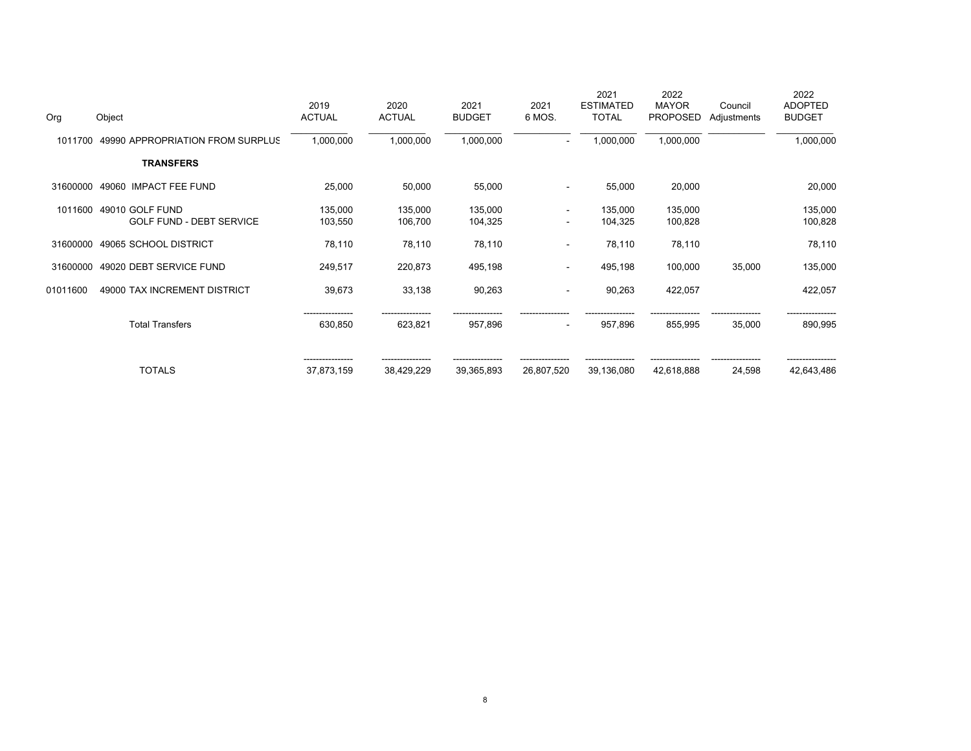| Org      | Object                                             | 2019<br><b>ACTUAL</b>   | 2020<br><b>ACTUAL</b> | 2021<br><b>BUDGET</b> | 2021<br>6 MOS.                     | 2021<br><b>ESTIMATED</b><br><b>TOTAL</b> | 2022<br><b>MAYOR</b><br><b>PROPOSED</b> | Council<br>Adjustments | 2022<br><b>ADOPTED</b><br><b>BUDGET</b> |
|----------|----------------------------------------------------|-------------------------|-----------------------|-----------------------|------------------------------------|------------------------------------------|-----------------------------------------|------------------------|-----------------------------------------|
| 1011700  | 49990 APPROPRIATION FROM SURPLUS                   | 1,000,000               | 1,000,000             | 1,000,000             | $\overline{\phantom{a}}$           | 1,000,000                                | 1,000,000                               |                        | 1,000,000                               |
|          | <b>TRANSFERS</b>                                   |                         |                       |                       |                                    |                                          |                                         |                        |                                         |
| 31600000 | 49060<br><b>IMPACT FEE FUND</b>                    | 25,000                  | 50,000                | 55,000                | $\blacksquare$                     | 55,000                                   | 20,000                                  |                        | 20,000                                  |
| 1011600  | 49010 GOLF FUND<br><b>GOLF FUND - DEBT SERVICE</b> | 135,000<br>103,550      | 135,000<br>106,700    | 135,000<br>104,325    | $\sim$<br>$\overline{\phantom{a}}$ | 135,000<br>104,325                       | 135,000<br>100,828                      |                        | 135,000<br>100,828                      |
| 31600000 | 49065 SCHOOL DISTRICT                              | 78,110                  | 78,110                | 78,110                | $\sim$                             | 78,110                                   | 78,110                                  |                        | 78,110                                  |
| 31600000 | 49020 DEBT SERVICE FUND                            | 249,517                 | 220,873               | 495,198               | $\sim$                             | 495,198                                  | 100,000                                 | 35,000                 | 135,000                                 |
| 01011600 | 49000 TAX INCREMENT DISTRICT                       | 39,673                  | 33,138                | 90,263                | $\overline{\phantom{a}}$           | 90,263                                   | 422,057                                 |                        | 422,057                                 |
|          | <b>Total Transfers</b>                             | ____________<br>630,850 | 623,821               | 957,896               | $\overline{\phantom{a}}$           | 957,896                                  | 855,995                                 | 35,000                 | 890,995                                 |
|          | <b>TOTALS</b>                                      | 37,873,159              | 38,429,229            | 39,365,893            | 26,807,520                         | 39,136,080                               | 42,618,888                              | 24,598                 | 42,643,486                              |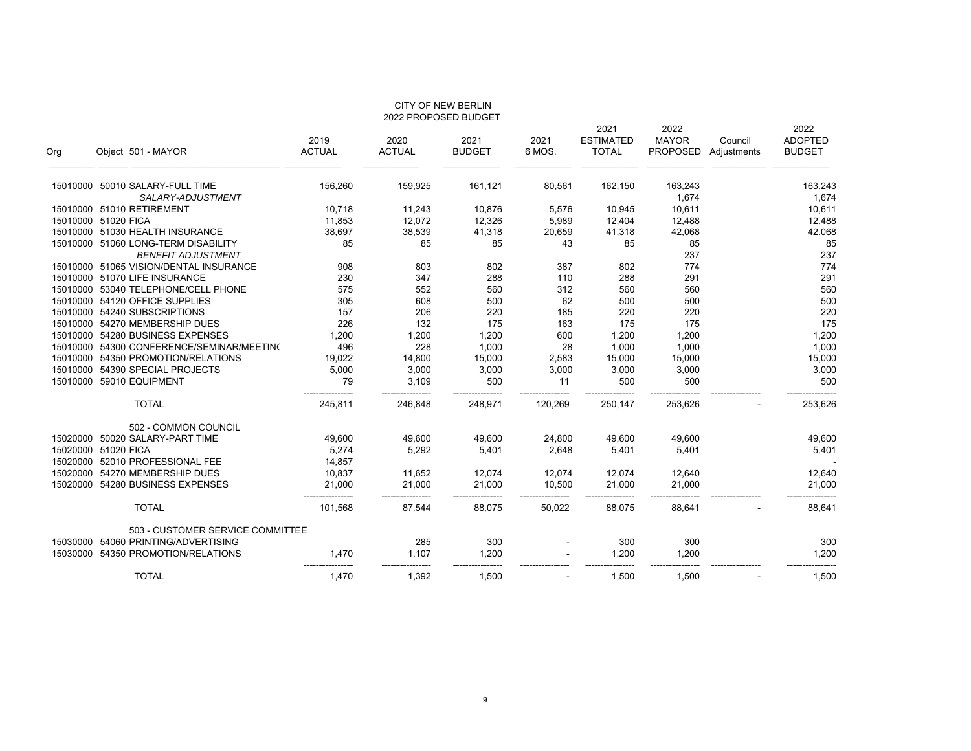| <b>UIT OF NEW DERLIN</b><br>2022 PROPOSED BUDGET |                                           |                    |               |               |         |                          |                      |             |                        |
|--------------------------------------------------|-------------------------------------------|--------------------|---------------|---------------|---------|--------------------------|----------------------|-------------|------------------------|
|                                                  |                                           | 2019               | 2020          | 2021          | 2021    | 2021<br><b>ESTIMATED</b> | 2022<br><b>MAYOR</b> | Council     | 2022<br><b>ADOPTED</b> |
| Org                                              | Object 501 - MAYOR                        | <b>ACTUAL</b>      | <b>ACTUAL</b> | <b>BUDGET</b> | 6 MOS.  | <b>TOTAL</b>             | <b>PROPOSED</b>      | Adjustments | <b>BUDGET</b>          |
|                                                  | 15010000 50010 SALARY-FULL TIME           | 156,260            | 159,925       | 161,121       | 80,561  | 162,150                  | 163,243              |             | 163,243                |
|                                                  | SALARY-ADJUSTMENT                         |                    |               |               |         |                          | 1,674                |             | 1,674                  |
|                                                  | 15010000 51010 RETIREMENT                 | 10,718             | 11,243        | 10,876        | 5,576   | 10,945                   | 10,611               |             | 10,611                 |
|                                                  | 15010000 51020 FICA                       | 11,853             | 12,072        | 12,326        | 5,989   | 12,404                   | 12,488               |             | 12,488                 |
|                                                  | 15010000 51030 HEALTH INSURANCE           | 38,697             | 38,539        | 41,318        | 20,659  | 41,318                   | 42,068               |             | 42,068                 |
|                                                  | 15010000 51060 LONG-TERM DISABILITY       | 85                 | 85            | 85            | 43      | 85                       | 85                   |             | 85                     |
|                                                  | <b>BENEFIT ADJUSTMENT</b>                 |                    |               |               |         |                          | 237                  |             | 237                    |
|                                                  | 15010000 51065 VISION/DENTAL INSURANCE    | 908                | 803           | 802           | 387     | 802                      | 774                  |             | 774                    |
|                                                  | 15010000 51070 LIFE INSURANCE             | 230                | 347           | 288           | 110     | 288                      | 291                  |             | 291                    |
|                                                  | 15010000 53040 TELEPHONE/CELL PHONE       | 575                | 552           | 560           | 312     | 560                      | 560                  |             | 560                    |
|                                                  | 15010000 54120 OFFICE SUPPLIES            | 305                | 608           | 500           | 62      | 500                      | 500                  |             | 500                    |
|                                                  | 15010000 54240 SUBSCRIPTIONS              | 157                | 206           | 220           | 185     | 220                      | 220                  |             | 220                    |
|                                                  | 15010000 54270 MEMBERSHIP DUES            | 226                | 132           | 175           | 163     | 175                      | 175                  |             | 175                    |
|                                                  | 15010000 54280 BUSINESS EXPENSES          | 1,200              | 1,200         | 1,200         | 600     | 1,200                    | 1,200                |             | 1,200                  |
|                                                  | 15010000 54300 CONFERENCE/SEMINAR/MEETING | 496                | 228           | 1,000         | 28      | 1,000                    | 1,000                |             | 1,000                  |
|                                                  | 15010000 54350 PROMOTION/RELATIONS        | 19,022             | 14,800        | 15,000        | 2,583   | 15,000                   | 15,000               |             | 15,000                 |
|                                                  | 15010000 54390 SPECIAL PROJECTS           | 5,000              | 3,000         | 3,000         | 3,000   | 3,000                    | 3,000                |             | 3,000                  |
|                                                  | 15010000 59010 EQUIPMENT                  | 79                 | 3,109         | 500           | 11      | 500                      | 500                  |             | 500                    |
|                                                  | <b>TOTAL</b>                              | 245,811            | 246,848       | 248,971       | 120,269 | 250,147                  | 253,626              |             | 253,626                |
|                                                  | 502 - COMMON COUNCIL                      |                    |               |               |         |                          |                      |             |                        |
| 15020000                                         | 50020 SALARY-PART TIME                    | 49,600             | 49,600        | 49,600        | 24,800  | 49,600                   | 49,600               |             | 49,600                 |
|                                                  | 15020000 51020 FICA                       | 5,274              | 5,292         | 5,401         | 2,648   | 5,401                    | 5,401                |             | 5,401                  |
|                                                  | 15020000 52010 PROFESSIONAL FEE           | 14,857             |               |               |         |                          |                      |             |                        |
|                                                  | 15020000 54270 MEMBERSHIP DUES            | 10,837             | 11,652        | 12,074        | 12,074  | 12,074                   | 12,640               |             | 12,640                 |
|                                                  | 15020000 54280 BUSINESS EXPENSES          | 21,000<br>-------- | 21,000        | 21,000        | 10,500  | 21,000                   | 21,000               |             | 21,000                 |
|                                                  | <b>TOTAL</b>                              | 101,568            | 87,544        | 88,075        | 50,022  | 88,075                   | 88,641               |             | 88,641                 |
|                                                  | 503 - CUSTOMER SERVICE COMMITTEE          |                    |               |               |         |                          |                      |             |                        |
| 15030000                                         | 54060 PRINTING/ADVERTISING                |                    | 285           | 300           |         | 300                      | 300                  |             | 300                    |
|                                                  | 15030000 54350 PROMOTION/RELATIONS        | 1,470              | 1,107         | 1,200         |         | 1,200                    | 1,200                |             | 1,200                  |
|                                                  | <b>TOTAL</b>                              | 1,470              | 1,392         | 1,500         |         | 1,500                    | 1,500                |             | 1,500                  |

CITY OF NEW BERLIN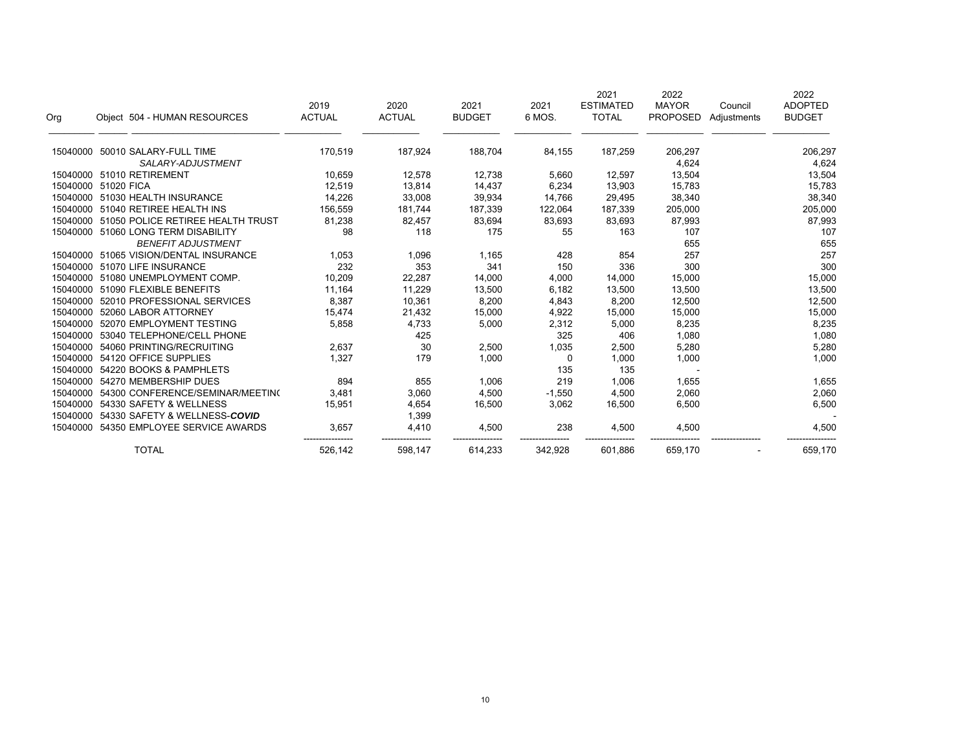| Org      | Object 504 - HUMAN RESOURCES      | 2019<br><b>ACTUAL</b> | 2020<br><b>ACTUAL</b> | 2021<br><b>BUDGET</b> | 2021<br>6 MOS. | 2021<br><b>ESTIMATED</b><br><b>TOTAL</b> | 2022<br><b>MAYOR</b><br><b>PROPOSED</b> | Council<br>Adjustments | 2022<br><b>ADOPTED</b><br><b>BUDGET</b> |
|----------|-----------------------------------|-----------------------|-----------------------|-----------------------|----------------|------------------------------------------|-----------------------------------------|------------------------|-----------------------------------------|
|          | 15040000 50010 SALARY-FULL TIME   | 170,519               | 187,924               | 188,704               | 84,155         | 187,259                                  | 206,297                                 |                        | 206,297                                 |
|          | SALARY-ADJUSTMENT                 |                       |                       |                       |                |                                          | 4,624                                   |                        | 4,624                                   |
| 15040000 | 51010 RETIREMENT                  | 10,659                | 12,578                | 12,738                | 5,660          | 12,597                                   | 13,504                                  |                        | 13,504                                  |
| 15040000 | 51020 FICA                        | 12,519                | 13,814                | 14,437                | 6,234          | 13,903                                   | 15,783                                  |                        | 15,783                                  |
| 15040000 | 51030 HEALTH INSURANCE            | 14,226                | 33,008                | 39,934                | 14,766         | 29,495                                   | 38,340                                  |                        | 38,340                                  |
| 15040000 | 51040 RETIREE HEALTH INS          | 156,559               | 181,744               | 187,339               | 122,064        | 187,339                                  | 205,000                                 |                        | 205,000                                 |
| 15040000 | 51050 POLICE RETIREE HEALTH TRUST | 81,238                | 82,457                | 83,694                | 83,693         | 83,693                                   | 87,993                                  |                        | 87,993                                  |
| 15040000 | 51060 LONG TERM DISABILITY        | 98                    | 118                   | 175                   | 55             | 163                                      | 107                                     |                        | 107                                     |
|          | <b>BENEFIT ADJUSTMENT</b>         |                       |                       |                       |                |                                          | 655                                     |                        | 655                                     |
| 15040000 | 51065 VISION/DENTAL INSURANCE     | 1,053                 | 1,096                 | 1,165                 | 428            | 854                                      | 257                                     |                        | 257                                     |
| 15040000 | 51070 LIFE INSURANCE              | 232                   | 353                   | 341                   | 150            | 336                                      | 300                                     |                        | 300                                     |
| 15040000 | 51080 UNEMPLOYMENT COMP.          | 10,209                | 22,287                | 14,000                | 4,000          | 14,000                                   | 15,000                                  |                        | 15,000                                  |
| 15040000 | 51090 FLEXIBLE BENEFITS           | 11.164                | 11,229                | 13,500                | 6,182          | 13,500                                   | 13,500                                  |                        | 13,500                                  |
| 15040000 | 52010 PROFESSIONAL SERVICES       | 8,387                 | 10,361                | 8,200                 | 4,843          | 8,200                                    | 12,500                                  |                        | 12,500                                  |
| 15040000 | 52060 LABOR ATTORNEY              | 15,474                | 21,432                | 15,000                | 4,922          | 15,000                                   | 15,000                                  |                        | 15,000                                  |
| 15040000 | 52070 EMPLOYMENT TESTING          | 5,858                 | 4,733                 | 5,000                 | 2,312          | 5,000                                    | 8,235                                   |                        | 8,235                                   |
| 15040000 | 53040 TELEPHONE/CELL PHONE        |                       | 425                   |                       | 325            | 406                                      | 1,080                                   |                        | 1,080                                   |
| 15040000 | 54060 PRINTING/RECRUITING         | 2,637                 | 30                    | 2,500                 | 1,035          | 2,500                                    | 5,280                                   |                        | 5,280                                   |
| 15040000 | 54120 OFFICE SUPPLIES             | 1.327                 | 179                   | 1,000                 | $\mathbf 0$    | 1,000                                    | 1,000                                   |                        | 1,000                                   |
| 15040000 | 54220 BOOKS & PAMPHLETS           |                       |                       |                       | 135            | 135                                      |                                         |                        |                                         |
| 15040000 | 54270 MEMBERSHIP DUES             | 894                   | 855                   | 1,006                 | 219            | 1,006                                    | 1,655                                   |                        | 1,655                                   |
| 15040000 | 54300 CONFERENCE/SEMINAR/MEETING  | 3,481                 | 3,060                 | 4,500                 | $-1,550$       | 4,500                                    | 2,060                                   |                        | 2,060                                   |
| 15040000 | 54330 SAFETY & WELLNESS           | 15,951                | 4,654                 | 16,500                | 3,062          | 16,500                                   | 6,500                                   |                        | 6,500                                   |
| 15040000 | 54330 SAFETY & WELLNESS-COVID     |                       | 1,399                 |                       |                |                                          |                                         |                        |                                         |
| 15040000 | 54350 EMPLOYEE SERVICE AWARDS     | 3.657                 | 4,410                 | 4,500                 | 238            | 4,500                                    | 4,500                                   |                        | 4,500                                   |
|          | <b>TOTAL</b>                      | 526,142               | 598,147               | 614,233               | 342,928        | 601,886                                  | 659,170                                 |                        | 659,170                                 |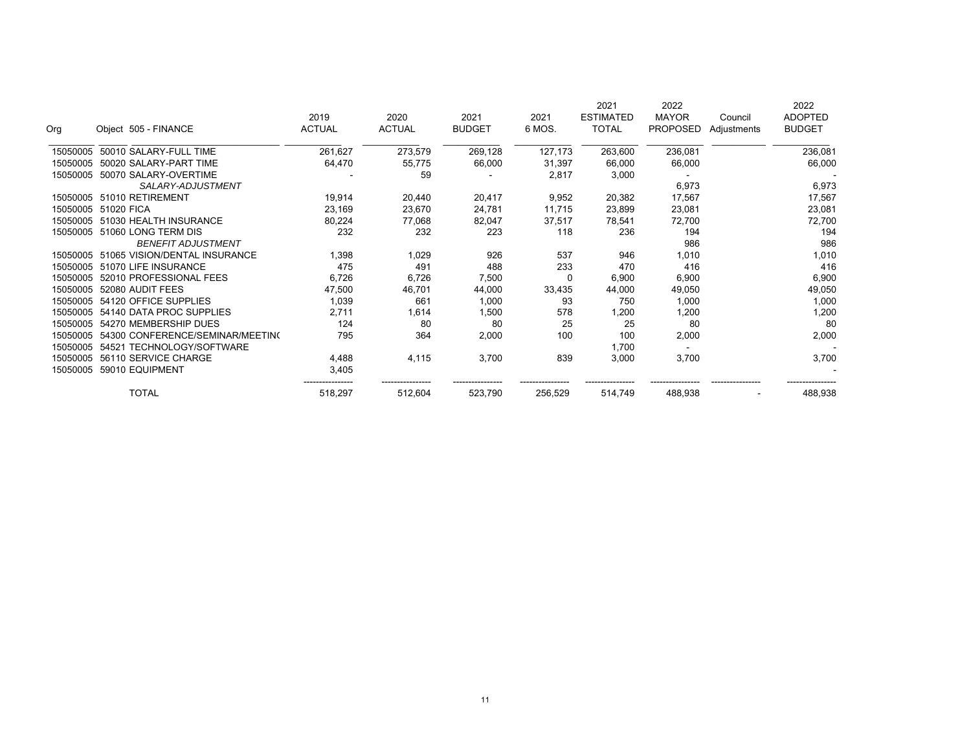| Org      | Object 505 - FINANCE             | 2019<br><b>ACTUAL</b> | 2020<br><b>ACTUAL</b> | 2021<br><b>BUDGET</b> | 2021<br>6 MOS. | 2021<br><b>ESTIMATED</b><br><b>TOTAL</b> | 2022<br><b>MAYOR</b><br><b>PROPOSED</b> | Council     | 2022<br><b>ADOPTED</b><br><b>BUDGET</b> |
|----------|----------------------------------|-----------------------|-----------------------|-----------------------|----------------|------------------------------------------|-----------------------------------------|-------------|-----------------------------------------|
|          |                                  |                       |                       |                       |                |                                          |                                         | Adjustments |                                         |
| 15050005 | 50010 SALARY-FULL TIME           | 261,627               | 273,579               | 269,128               | 127,173        | 263,600                                  | 236,081                                 |             | 236,081                                 |
| 15050005 | 50020 SALARY-PART TIME           | 64,470                | 55,775                | 66,000                | 31,397         | 66,000                                   | 66,000                                  |             | 66,000                                  |
| 15050005 | 50070 SALARY-OVERTIME            |                       | 59                    |                       | 2,817          | 3,000                                    |                                         |             |                                         |
|          | SALARY-ADJUSTMENT                |                       |                       |                       |                |                                          | 6,973                                   |             | 6,973                                   |
| 15050005 | 51010 RETIREMENT                 | 19,914                | 20,440                | 20,417                | 9,952          | 20,382                                   | 17,567                                  |             | 17,567                                  |
| 15050005 | 51020 FICA                       | 23,169                | 23,670                | 24,781                | 11,715         | 23,899                                   | 23,081                                  |             | 23,081                                  |
| 15050005 | 51030 HEALTH INSURANCE           | 80,224                | 77,068                | 82,047                | 37,517         | 78,541                                   | 72,700                                  |             | 72,700                                  |
| 15050005 | 51060 LONG TERM DIS              | 232                   | 232                   | 223                   | 118            | 236                                      | 194                                     |             | 194                                     |
|          | <b>BENEFIT ADJUSTMENT</b>        |                       |                       |                       |                |                                          | 986                                     |             | 986                                     |
| 15050005 | 51065 VISION/DENTAL INSURANCE    | 1,398                 | 1,029                 | 926                   | 537            | 946                                      | 1,010                                   |             | 1,010                                   |
| 15050005 | 51070 LIFE INSURANCE             | 475                   | 491                   | 488                   | 233            | 470                                      | 416                                     |             | 416                                     |
| 15050005 | 52010 PROFESSIONAL FEES          | 6,726                 | 6,726                 | 7,500                 | -C             | 6,900                                    | 6,900                                   |             | 6,900                                   |
| 15050005 | 52080 AUDIT FEES                 | 47,500                | 46,701                | 44,000                | 33,435         | 44,000                                   | 49,050                                  |             | 49,050                                  |
| 15050005 | 54120 OFFICE SUPPLIES            | 1,039                 | 661                   | 1,000                 | 93             | 750                                      | 1,000                                   |             | 1,000                                   |
| 15050005 | 54140 DATA PROC SUPPLIES         | 2,711                 | 1,614                 | 1,500                 | 578            | 1,200                                    | 1,200                                   |             | 1,200                                   |
| 15050005 | 54270 MEMBERSHIP DUES            | 124                   | 80                    | 80                    | 25             | 25                                       | 80                                      |             | 80                                      |
| 15050005 | 54300 CONFERENCE/SEMINAR/MEETING | 795                   | 364                   | 2,000                 | 100            | 100                                      | 2,000                                   |             | 2,000                                   |
| 15050005 | 54521 TECHNOLOGY/SOFTWARE        |                       |                       |                       |                | 1,700                                    |                                         |             |                                         |
| 15050005 | 56110 SERVICE CHARGE             | 4,488                 | 4,115                 | 3,700                 | 839            | 3,000                                    | 3,700                                   |             | 3,700                                   |
| 15050005 | 59010 EQUIPMENT                  | 3,405                 |                       |                       |                |                                          |                                         |             |                                         |
|          | <b>TOTAL</b>                     | 518,297               | 512,604               | 523,790               | 256,529        | 514,749                                  | 488,938                                 |             | 488,938                                 |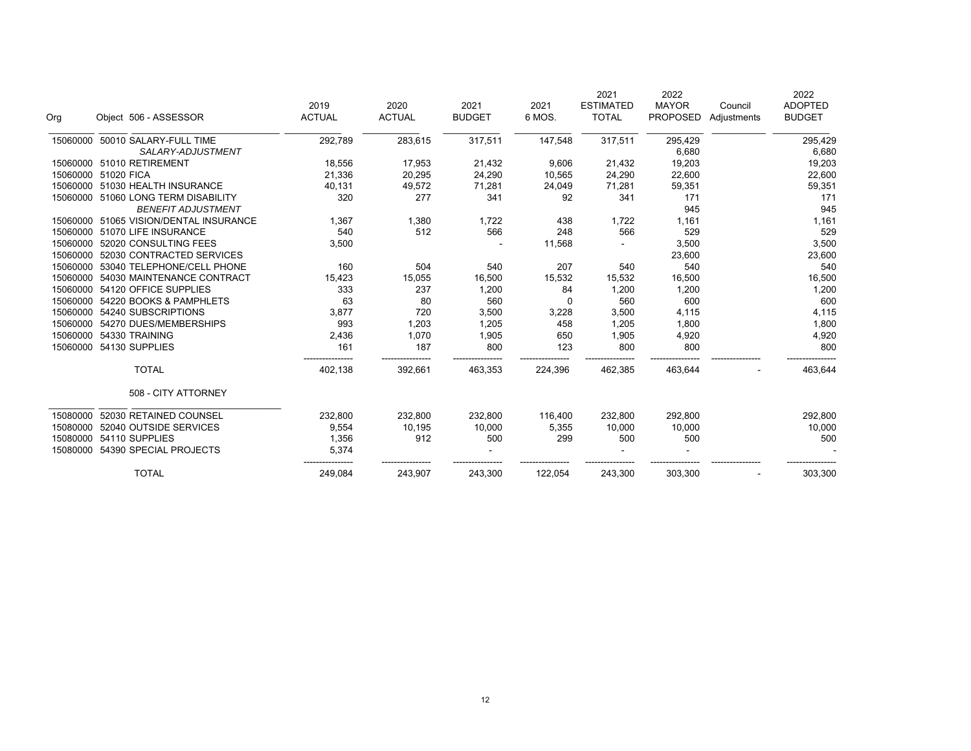| Org      | Object 506 - ASSESSOR                  | 2019<br><b>ACTUAL</b> | 2020<br><b>ACTUAL</b> | 2021<br><b>BUDGET</b> | 2021<br>6 MOS. | 2021<br><b>ESTIMATED</b><br><b>TOTAL</b> | 2022<br><b>MAYOR</b><br><b>PROPOSED</b> | Council<br>Adjustments | 2022<br><b>ADOPTED</b><br><b>BUDGET</b> |
|----------|----------------------------------------|-----------------------|-----------------------|-----------------------|----------------|------------------------------------------|-----------------------------------------|------------------------|-----------------------------------------|
| 15060000 | 50010 SALARY-FULL TIME                 | 292,789               | 283,615               | 317,511               | 147,548        | 317,511                                  | 295,429                                 |                        | 295,429                                 |
|          | SALARY-ADJUSTMENT                      |                       |                       |                       |                |                                          | 6,680                                   |                        | 6,680                                   |
| 15060000 | 51010 RETIREMENT                       | 18,556                | 17,953                | 21,432                | 9,606          | 21,432                                   | 19,203                                  |                        | 19,203                                  |
|          | 15060000 51020 FICA                    | 21,336                | 20,295                | 24,290                | 10,565         | 24,290                                   | 22,600                                  |                        | 22,600                                  |
|          | 15060000 51030 HEALTH INSURANCE        | 40,131                | 49,572                | 71,281                | 24,049         | 71,281                                   | 59,351                                  |                        | 59,351                                  |
|          | 15060000 51060 LONG TERM DISABILITY    | 320                   | 277                   | 341                   | 92             | 341                                      | 171                                     |                        | 171                                     |
|          | <b>BENEFIT ADJUSTMENT</b>              |                       |                       |                       |                |                                          | 945                                     |                        | 945                                     |
|          | 15060000 51065 VISION/DENTAL INSURANCE | 1,367                 | 1,380                 | 1,722                 | 438            | 1,722                                    | 1,161                                   |                        | 1,161                                   |
| 15060000 | 51070 LIFE INSURANCE                   | 540                   | 512                   | 566                   | 248            | 566                                      | 529                                     |                        | 529                                     |
| 15060000 | 52020 CONSULTING FEES                  | 3,500                 |                       |                       | 11,568         |                                          | 3,500                                   |                        | 3,500                                   |
| 15060000 | 52030 CONTRACTED SERVICES              |                       |                       |                       |                |                                          | 23,600                                  |                        | 23,600                                  |
| 15060000 | 53040 TELEPHONE/CELL PHONE             | 160                   | 504                   | 540                   | 207            | 540                                      | 540                                     |                        | 540                                     |
| 15060000 | 54030 MAINTENANCE CONTRACT             | 15,423                | 15,055                | 16,500                | 15,532         | 15,532                                   | 16,500                                  |                        | 16,500                                  |
| 15060000 | 54120 OFFICE SUPPLIES                  | 333                   | 237                   | 1,200                 | 84             | 1,200                                    | 1,200                                   |                        | 1,200                                   |
| 15060000 | 54220 BOOKS & PAMPHLETS                | 63                    | 80                    | 560                   | $\Omega$       | 560                                      | 600                                     |                        | 600                                     |
| 15060000 | 54240 SUBSCRIPTIONS                    | 3,877                 | 720                   | 3,500                 | 3,228          | 3,500                                    | 4,115                                   |                        | 4,115                                   |
| 15060000 | 54270 DUES/MEMBERSHIPS                 | 993                   | 1,203                 | 1,205                 | 458            | 1,205                                    | 1,800                                   |                        | 1,800                                   |
| 15060000 | 54330 TRAINING                         | 2,436                 | 1,070                 | 1,905                 | 650            | 1,905                                    | 4,920                                   |                        | 4,920                                   |
| 15060000 | 54130 SUPPLIES                         | 161                   | 187                   | 800                   | 123            | 800                                      | 800                                     |                        | 800                                     |
|          | <b>TOTAL</b>                           | 402,138               | 392,661               | 463,353               | 224,396        | 462,385                                  | 463,644                                 |                        | 463,644                                 |
|          | 508 - CITY ATTORNEY                    |                       |                       |                       |                |                                          |                                         |                        |                                         |
| 15080000 | 52030 RETAINED COUNSEL                 | 232,800               | 232,800               | 232,800               | 116,400        | 232,800                                  | 292,800                                 |                        | 292,800                                 |
| 15080000 | 52040 OUTSIDE SERVICES                 | 9,554                 | 10,195                | 10,000                | 5,355          | 10.000                                   | 10,000                                  |                        | 10,000                                  |
| 15080000 | 54110 SUPPLIES                         | 1,356                 | 912                   | 500                   | 299            | 500                                      | 500                                     |                        | 500                                     |
| 15080000 | 54390 SPECIAL PROJECTS                 | 5,374                 |                       |                       |                |                                          |                                         |                        |                                         |
|          | <b>TOTAL</b>                           | 249,084               | 243,907               | 243,300               | 122,054        | 243,300                                  | 303,300                                 |                        | 303,300                                 |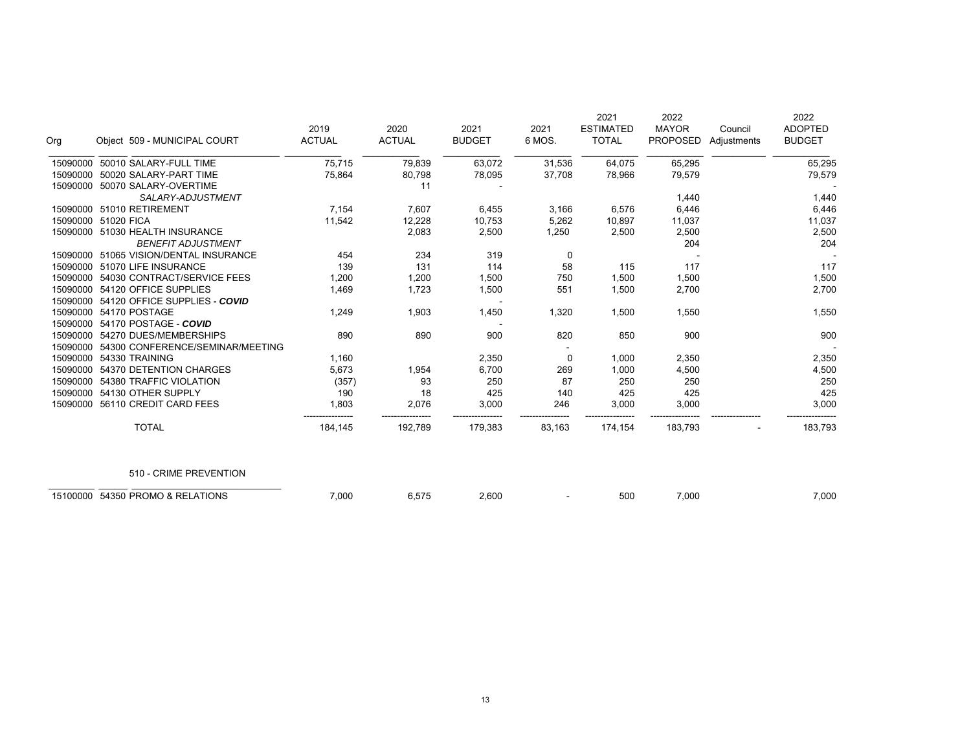| Org      | Object 509 - MUNICIPAL COURT     | 2019<br><b>ACTUAL</b> | 2020<br><b>ACTUAL</b> | 2021<br><b>BUDGET</b> | 2021<br>6 MOS. | 2021<br><b>ESTIMATED</b><br><b>TOTAL</b> | 2022<br><b>MAYOR</b><br><b>PROPOSED</b> | Council<br>Adjustments | 2022<br><b>ADOPTED</b><br><b>BUDGET</b> |
|----------|----------------------------------|-----------------------|-----------------------|-----------------------|----------------|------------------------------------------|-----------------------------------------|------------------------|-----------------------------------------|
| 15090000 | 50010 SALARY-FULL TIME           | 75,715                | 79,839                | 63,072                | 31,536         | 64,075                                   | 65,295                                  |                        | 65,295                                  |
| 15090000 | 50020 SALARY-PART TIME           | 75,864                | 80,798                | 78,095                | 37,708         | 78,966                                   | 79,579                                  |                        | 79,579                                  |
| 15090000 | 50070 SALARY-OVERTIME            |                       | 11                    |                       |                |                                          |                                         |                        |                                         |
|          | SALARY-ADJUSTMENT                |                       |                       |                       |                |                                          | 1,440                                   |                        | 1,440                                   |
| 15090000 | 51010 RETIREMENT                 | 7,154                 | 7,607                 | 6,455                 | 3,166          | 6,576                                    | 6,446                                   |                        | 6,446                                   |
| 15090000 | 51020 FICA                       | 11,542                | 12,228                | 10,753                | 5,262          | 10,897                                   | 11,037                                  |                        | 11,037                                  |
| 15090000 | 51030 HEALTH INSURANCE           |                       | 2,083                 | 2,500                 | 1,250          | 2,500                                    | 2,500                                   |                        | 2,500                                   |
|          | <b>BENEFIT ADJUSTMENT</b>        |                       |                       |                       |                |                                          | 204                                     |                        | 204                                     |
| 15090000 | 51065 VISION/DENTAL INSURANCE    | 454                   | 234                   | 319                   | 0              |                                          |                                         |                        |                                         |
| 15090000 | 51070 LIFE INSURANCE             | 139                   | 131                   | 114                   | 58             | 115                                      | 117                                     |                        | 117                                     |
| 15090000 | 54030 CONTRACT/SERVICE FEES      | 1,200                 | 1,200                 | 1,500                 | 750            | 1,500                                    | 1,500                                   |                        | 1,500                                   |
| 15090000 | 54120 OFFICE SUPPLIES            | 1,469                 | 1,723                 | 1,500                 | 551            | 1,500                                    | 2,700                                   |                        | 2,700                                   |
| 15090000 | 54120 OFFICE SUPPLIES - COVID    |                       |                       |                       |                |                                          |                                         |                        |                                         |
| 15090000 | 54170 POSTAGE                    | 1,249                 | 1,903                 | 1,450                 | 1,320          | 1,500                                    | 1,550                                   |                        | 1,550                                   |
| 15090000 | 54170 POSTAGE - COVID            |                       |                       |                       |                |                                          |                                         |                        |                                         |
| 15090000 | 54270 DUES/MEMBERSHIPS           | 890                   | 890                   | 900                   | 820            | 850                                      | 900                                     |                        | 900                                     |
| 15090000 | 54300 CONFERENCE/SEMINAR/MEETING |                       |                       |                       |                |                                          |                                         |                        |                                         |
| 15090000 | 54330 TRAINING                   | 1,160                 |                       | 2,350                 | $\mathbf 0$    | 1,000                                    | 2,350                                   |                        | 2,350                                   |
| 15090000 | 54370 DETENTION CHARGES          | 5,673                 | 1,954                 | 6,700                 | 269            | 1,000                                    | 4,500                                   |                        | 4,500                                   |
| 15090000 | 54380 TRAFFIC VIOLATION          | (357)                 | 93                    | 250                   | 87             | 250                                      | 250                                     |                        | 250                                     |
| 15090000 | 54130 OTHER SUPPLY               | 190                   | 18                    | 425                   | 140            | 425                                      | 425                                     |                        | 425                                     |
| 15090000 | 56110 CREDIT CARD FEES           | 1,803                 | 2,076                 | 3,000                 | 246            | 3,000                                    | 3,000                                   |                        | 3,000                                   |
|          | <b>TOTAL</b>                     | 184,145               | 192,789               | 179,383               | 83,163         | 174,154                                  | 183,793                                 |                        | 183,793                                 |
|          | 510 - CRIME PREVENTION           |                       |                       |                       |                |                                          |                                         |                        |                                         |
| 15100000 | 54350 PROMO & RELATIONS          | 7.000                 | 6.575                 | 2.600                 |                | 500                                      | 7.000                                   |                        | 7,000                                   |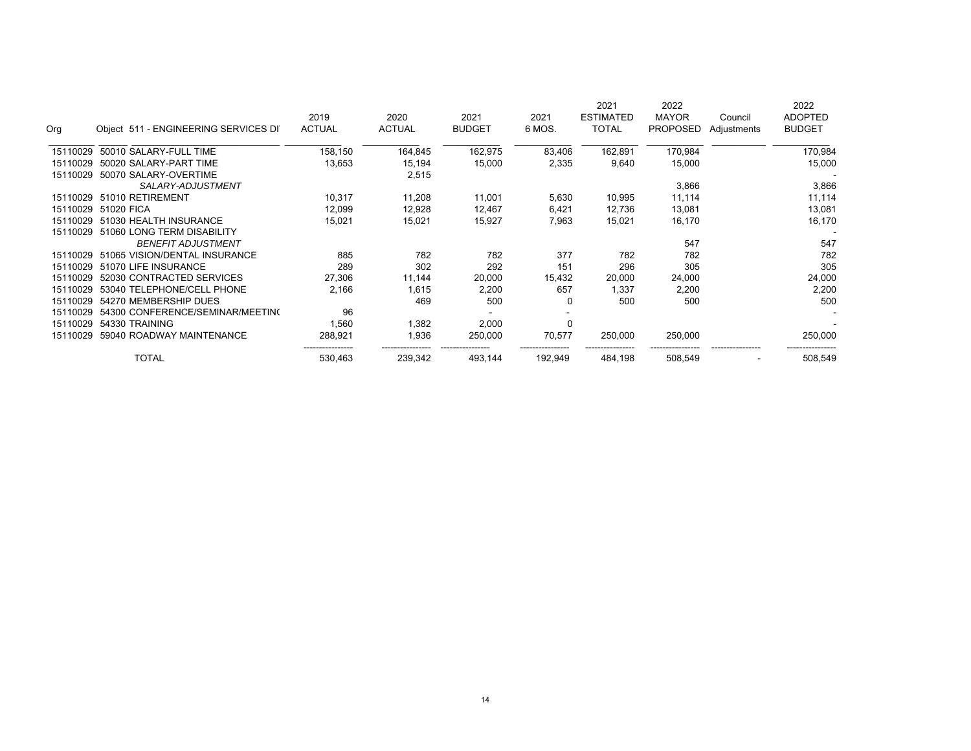|          |                                      | 2019          | 2020          | 2021          | 2021         | 2021<br><b>ESTIMATED</b> | 2022<br><b>MAYOR</b> | Council                  | 2022<br><b>ADOPTED</b> |
|----------|--------------------------------------|---------------|---------------|---------------|--------------|--------------------------|----------------------|--------------------------|------------------------|
| Org      | Object 511 - ENGINEERING SERVICES DI | <b>ACTUAL</b> | <b>ACTUAL</b> | <b>BUDGET</b> | 6 MOS.       | <b>TOTAL</b>             | <b>PROPOSED</b>      | Adjustments              | <b>BUDGET</b>          |
| 15110029 | 50010 SALARY-FULL TIME               | 158,150       | 164,845       | 162,975       | 83,406       | 162,891                  | 170,984              |                          | 170,984                |
| 15110029 | 50020 SALARY-PART TIME               | 13,653        | 15,194        | 15,000        | 2,335        | 9,640                    | 15,000               |                          | 15,000                 |
| 15110029 | 50070 SALARY-OVERTIME                |               | 2,515         |               |              |                          |                      |                          |                        |
|          | SALARY-ADJUSTMENT                    |               |               |               |              |                          | 3,866                |                          | 3,866                  |
| 15110029 | 51010 RETIREMENT                     | 10,317        | 11,208        | 11,001        | 5,630        | 10,995                   | 11,114               |                          | 11,114                 |
| 15110029 | 51020 FICA                           | 12,099        | 12,928        | 12,467        | 6,421        | 12,736                   | 13,081               |                          | 13,081                 |
| 15110029 | 51030 HEALTH INSURANCE               | 15,021        | 15,021        | 15,927        | 7,963        | 15,021                   | 16,170               |                          | 16,170                 |
| 15110029 | 51060 LONG TERM DISABILITY           |               |               |               |              |                          |                      |                          |                        |
|          | <b>BENEFIT ADJUSTMENT</b>            |               |               |               |              |                          | 547                  |                          | 547                    |
| 15110029 | 51065 VISION/DENTAL INSURANCE        | 885           | 782           | 782           | 377          | 782                      | 782                  |                          | 782                    |
| 15110029 | 51070 LIFE INSURANCE                 | 289           | 302           | 292           | 151          | 296                      | 305                  |                          | 305                    |
| 15110029 | 52030 CONTRACTED SERVICES            | 27,306        | 11,144        | 20,000        | 15,432       | 20,000                   | 24,000               |                          | 24,000                 |
| 15110029 | 53040 TELEPHONE/CELL PHONE           | 2,166         | 1,615         | 2,200         | 657          | 1,337                    | 2,200                |                          | 2,200                  |
| 15110029 | 54270 MEMBERSHIP DUES                |               | 469           | 500           | <sup>0</sup> | 500                      | 500                  |                          | 500                    |
| 15110029 | 54300 CONFERENCE/SEMINAR/MEETING     | 96            |               |               |              |                          |                      |                          |                        |
| 15110029 | 54330 TRAINING                       | 560, ا        | 1,382         | 2,000         | 0            |                          |                      |                          |                        |
| 15110029 | 59040 ROADWAY MAINTENANCE            | 288,921       | 1,936         | 250,000       | 70,577       | 250,000                  | 250,000              |                          | 250,000                |
|          | <b>TOTAL</b>                         | 530,463       | 239,342       | 493,144       | 192,949      | 484,198                  | 508,549              | $\overline{\phantom{0}}$ | 508,549                |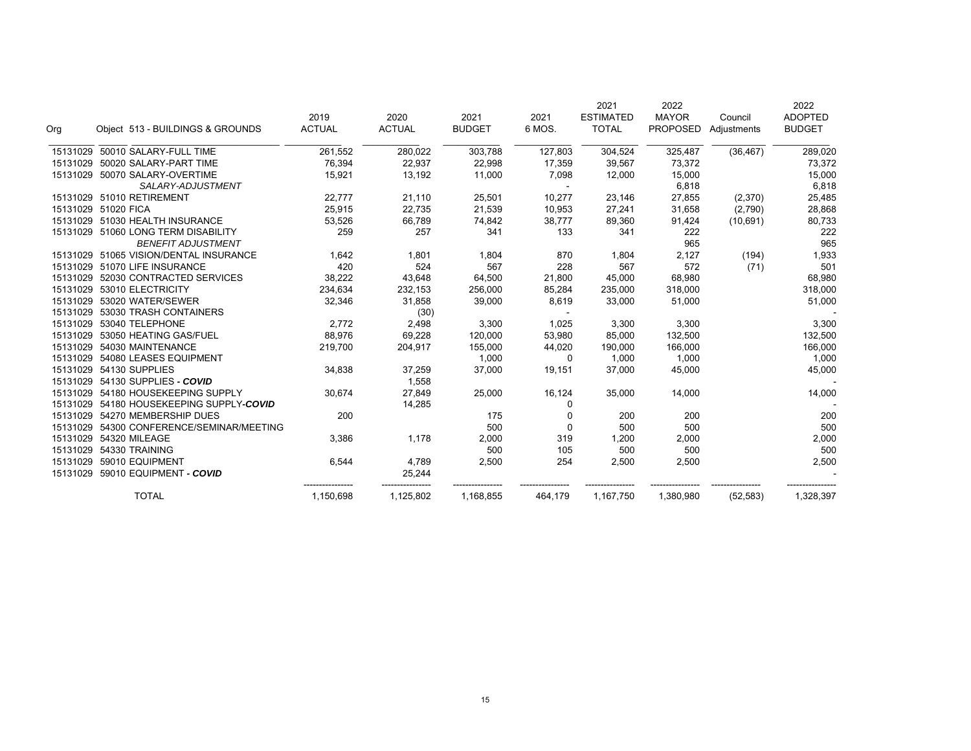|                                              |                                  |                       |                       |                       | 2021           | 2022                             |                                 | 2022                   |
|----------------------------------------------|----------------------------------|-----------------------|-----------------------|-----------------------|----------------|----------------------------------|---------------------------------|------------------------|
|                                              |                                  |                       |                       |                       |                |                                  |                                 | <b>ADOPTED</b>         |
|                                              |                                  |                       |                       |                       |                |                                  |                                 | <b>BUDGET</b>          |
| 50010 SALARY-FULL TIME<br>15131029           | 261,552                          | 280,022               | 303,788               | 127,803               | 304,524        | 325,487                          | (36, 467)                       | 289,020                |
| 50020 SALARY-PART TIME<br>15131029           | 76,394                           | 22,937                | 22,998                | 17,359                | 39,567         | 73,372                           |                                 | 73,372                 |
| 50070 SALARY-OVERTIME<br>15131029            | 15,921                           | 13,192                | 11,000                | 7,098                 | 12,000         | 15,000                           |                                 | 15,000                 |
| SALARY-ADJUSTMENT                            |                                  |                       |                       |                       |                | 6,818                            |                                 | 6,818                  |
| 15131029 51010 RETIREMENT                    | 22,777                           | 21,110                | 25,501                | 10,277                | 23,146         | 27,855                           | (2,370)                         | 25,485                 |
| 15131029 51020 FICA                          | 25,915                           | 22,735                | 21,539                | 10,953                | 27,241         | 31,658                           | (2,790)                         | 28,868                 |
| 15131029<br>51030 HEALTH INSURANCE           | 53,526                           | 66,789                | 74,842                | 38,777                | 89,360         | 91,424                           | (10, 691)                       | 80,733                 |
| 15131029 51060 LONG TERM DISABILITY          | 259                              | 257                   | 341                   | 133                   | 341            | 222                              |                                 | 222                    |
| <b>BENEFIT ADJUSTMENT</b>                    |                                  |                       |                       |                       |                | 965                              |                                 | 965                    |
| 15131029 51065 VISION/DENTAL INSURANCE       | 1,642                            | 1,801                 | 1,804                 | 870                   | 1,804          | 2,127                            | (194)                           | 1,933                  |
| 15131029 51070 LIFE INSURANCE                | 420                              | 524                   | 567                   | 228                   | 567            | 572                              | (71)                            | 501                    |
| 52030 CONTRACTED SERVICES<br>15131029        | 38,222                           | 43,648                | 64,500                | 21,800                | 45,000         | 68,980                           |                                 | 68,980                 |
| 53010 ELECTRICITY<br>15131029                | 234,634                          | 232,153               | 256,000               | 85,284                | 235,000        | 318,000                          |                                 | 318,000                |
| 15131029<br>53020 WATER/SEWER                | 32,346                           | 31,858                | 39,000                | 8,619                 | 33,000         | 51,000                           |                                 | 51,000                 |
| 53030 TRASH CONTAINERS<br>15131029           |                                  | (30)                  |                       |                       |                |                                  |                                 |                        |
| 53040 TELEPHONE<br>15131029                  | 2,772                            | 2,498                 | 3,300                 | 1,025                 | 3,300          | 3,300                            |                                 | 3,300                  |
| 53050 HEATING GAS/FUEL<br>15131029           | 88,976                           | 69,228                | 120,000               | 53,980                | 85,000         | 132,500                          |                                 | 132,500                |
| 15131029<br>54030 MAINTENANCE                | 219,700                          | 204,917               | 155,000               | 44,020                | 190,000        | 166,000                          |                                 | 166,000                |
| 54080 LEASES EQUIPMENT<br>15131029           |                                  |                       | 1,000                 | 0                     | 1,000          | 1,000                            |                                 | 1,000                  |
| 54130 SUPPLIES<br>15131029                   | 34,838                           | 37,259                | 37,000                | 19,151                | 37,000         | 45,000                           |                                 | 45,000                 |
| 15131029<br>54130 SUPPLIES - COVID           |                                  | 1,558                 |                       |                       |                |                                  |                                 |                        |
| 54180 HOUSEKEEPING SUPPLY<br>15131029        | 30,674                           | 27,849                | 25,000                | 16,124                | 35,000         | 14,000                           |                                 | 14,000                 |
| 54180 HOUSEKEEPING SUPPLY-COVID<br>15131029  |                                  | 14,285                |                       | 0                     |                |                                  |                                 |                        |
| 54270 MEMBERSHIP DUES<br>15131029            | 200                              |                       | 175                   | $\Omega$              | 200            | 200                              |                                 | 200                    |
| 54300 CONFERENCE/SEMINAR/MEETING<br>15131029 |                                  |                       | 500                   | $\mathbf 0$           | 500            | 500                              |                                 | 500                    |
| 54320 MILEAGE<br>15131029                    | 3,386                            | 1,178                 | 2,000                 | 319                   | 1,200          | 2,000                            |                                 | 2,000                  |
| 54330 TRAINING<br>15131029                   |                                  |                       | 500                   | 105                   | 500            | 500                              |                                 | 500                    |
| 15131029<br>59010 EQUIPMENT                  | 6,544                            | 4,789                 | 2,500                 | 254                   | 2,500          | 2,500                            |                                 | 2,500                  |
| 15131029<br>59010 EQUIPMENT - COVID          |                                  | 25,244                |                       |                       |                |                                  |                                 |                        |
| <b>TOTAL</b>                                 | 1,150,698                        | 1,125,802             | 1,168,855             | 464,179               | 1,167,750      | 1,380,980                        | (52, 583)                       | 1,328,397              |
|                                              | Object 513 - BUILDINGS & GROUNDS | 2019<br><b>ACTUAL</b> | 2020<br><b>ACTUAL</b> | 2021<br><b>BUDGET</b> | 2021<br>6 MOS. | <b>ESTIMATED</b><br><b>TOTAL</b> | <b>MAYOR</b><br><b>PROPOSED</b> | Council<br>Adjustments |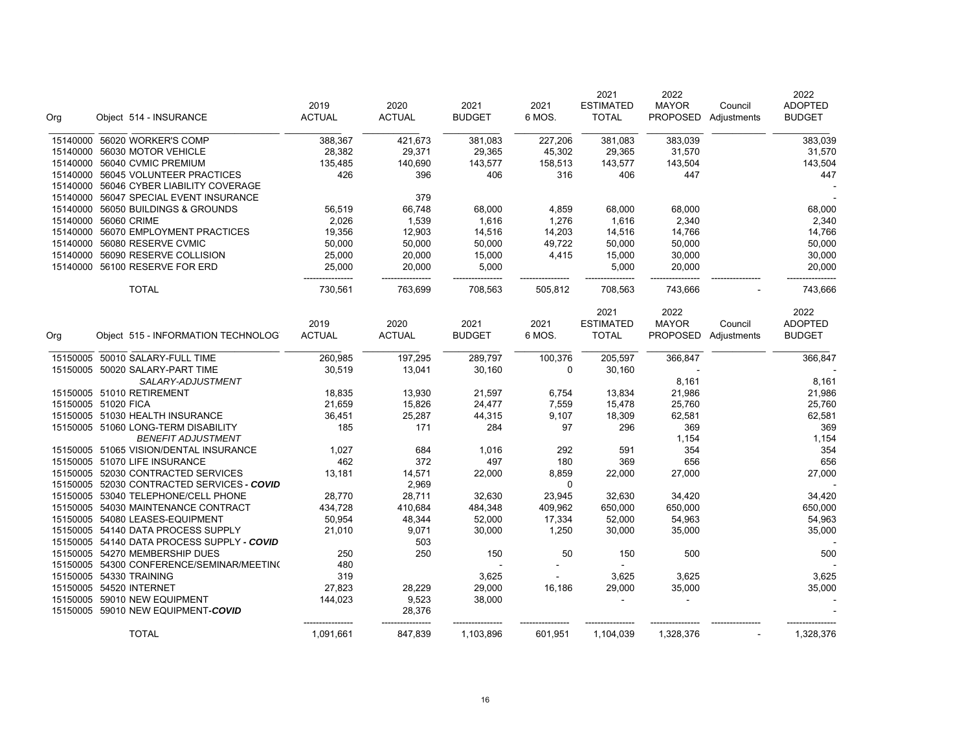| Org                  | Object 514 - INSURANCE                                                        | 2019<br><b>ACTUAL</b>  | 2020<br><b>ACTUAL</b> | 2021<br><b>BUDGET</b> | 2021<br>6 MOS. | 2021<br><b>ESTIMATED</b><br><b>TOTAL</b> | 2022<br><b>MAYOR</b> | Council<br>PROPOSED Adjustments | 2022<br><b>ADOPTED</b><br><b>BUDGET</b> |
|----------------------|-------------------------------------------------------------------------------|------------------------|-----------------------|-----------------------|----------------|------------------------------------------|----------------------|---------------------------------|-----------------------------------------|
|                      | 15140000 56020 WORKER'S COMP                                                  | 388,367                | 421,673               | 381,083               | 227,206        | 381,083                                  | 383,039              |                                 | 383,039                                 |
|                      | 15140000 56030 MOTOR VEHICLE                                                  | 28,382                 | 29,371                | 29,365                | 45,302         | 29,365                                   | 31,570               |                                 | 31,570                                  |
|                      | 15140000 56040 CVMIC PREMIUM                                                  | 135,485                | 140,690               | 143,577               | 158,513        | 143,577                                  | 143,504              |                                 | 143,504                                 |
|                      | 15140000 56045 VOLUNTEER PRACTICES<br>15140000 56046 CYBER LIABILITY COVERAGE | 426                    | 396                   | 406                   | 316            | 406                                      | 447                  |                                 | 447                                     |
|                      | 15140000 56047 SPECIAL EVENT INSURANCE                                        |                        | 379                   |                       |                |                                          |                      |                                 |                                         |
|                      | 15140000 56050 BUILDINGS & GROUNDS                                            | 56,519                 | 66,748                | 68,000                | 4,859          | 68,000                                   | 68,000               |                                 | 68,000                                  |
| 15140000 56060 CRIME |                                                                               | 2,026                  | 1,539                 | 1,616                 | 1,276          | 1,616                                    | 2,340                |                                 | 2,340                                   |
|                      | 15140000 56070 EMPLOYMENT PRACTICES                                           | 19,356                 | 12,903                | 14,516                | 14,203         | 14,516                                   | 14,766               |                                 | 14,766                                  |
| 15140000             | 56080 RESERVE CVMIC                                                           | 50,000                 | 50,000                | 50,000                | 49,722         | 50,000                                   | 50,000               |                                 | 50,000                                  |
| 15140000             | 56090 RESERVE COLLISION                                                       | 25,000                 | 20,000                | 15,000                | 4,415          | 15,000                                   | 30,000               |                                 | 30,000                                  |
|                      | 15140000 56100 RESERVE FOR ERD                                                | 25,000<br>------------ | 20,000                | 5,000                 |                | 5,000                                    | 20,000               |                                 | 20,000                                  |
|                      | <b>TOTAL</b>                                                                  | 730,561                | 763,699               | 708,563               | 505,812        | 708,563                                  | 743,666              |                                 | 743,666                                 |
|                      |                                                                               |                        |                       |                       |                | 2021                                     | 2022                 |                                 | 2022                                    |
|                      |                                                                               | 2019                   | 2020                  | 2021                  | 2021           | <b>ESTIMATED</b>                         | <b>MAYOR</b>         | Council                         | <b>ADOPTED</b>                          |
| Org                  | Object 515 - INFORMATION TECHNOLOG                                            | <b>ACTUAL</b>          | <b>ACTUAL</b>         | <b>BUDGET</b>         | 6 MOS.         | <b>TOTAL</b>                             | <b>PROPOSED</b>      | Adjustments                     | <b>BUDGET</b>                           |
|                      | 15150005 50010 SALARY-FULL TIME                                               | 260,985                | 197,295               | 289,797               | 100,376        | 205,597                                  | 366,847              |                                 | 366,847                                 |
|                      | 15150005 50020 SALARY-PART TIME                                               | 30,519                 | 13,041                | 30,160                | 0              | 30,160                                   |                      |                                 |                                         |
|                      | SALARY-ADJUSTMENT                                                             |                        |                       |                       |                |                                          | 8,161                |                                 | 8,161                                   |
|                      | 15150005 51010 RETIREMENT                                                     | 18,835                 | 13,930                | 21,597                | 6,754          | 13,834                                   | 21,986               |                                 | 21,986                                  |
| 15150005 51020 FICA  |                                                                               | 21,659                 | 15,826                | 24,477                | 7,559          | 15,478                                   | 25,760               |                                 | 25,760                                  |
|                      | 15150005 51030 HEALTH INSURANCE                                               | 36,451                 | 25,287                | 44,315                | 9,107          | 18,309                                   | 62,581               |                                 | 62,581                                  |
|                      | 15150005 51060 LONG-TERM DISABILITY                                           | 185                    | 171                   | 284                   | 97             | 296                                      | 369                  |                                 | 369                                     |
|                      | <b>BENEFIT ADJUSTMENT</b>                                                     |                        |                       |                       |                |                                          | 1,154                |                                 | 1,154                                   |
|                      | 15150005 51065 VISION/DENTAL INSURANCE                                        | 1,027                  | 684                   | 1,016                 | 292            | 591                                      | 354                  |                                 | 354                                     |
|                      | 15150005 51070 LIFE INSURANCE                                                 | 462                    | 372                   | 497                   | 180            | 369                                      | 656                  |                                 | 656                                     |
|                      | 15150005 52030 CONTRACTED SERVICES                                            | 13,181                 | 14,571                | 22,000                | 8,859          | 22,000                                   | 27,000               |                                 | 27,000                                  |
|                      | 15150005 52030 CONTRACTED SERVICES - COVID                                    |                        | 2,969                 |                       | $\Omega$       |                                          |                      |                                 |                                         |
|                      | 15150005 53040 TELEPHONE/CELL PHONE                                           | 28,770                 | 28,711                | 32,630                | 23,945         | 32,630                                   | 34,420               |                                 | 34,420                                  |
|                      | 15150005 54030 MAINTENANCE CONTRACT                                           | 434,728                | 410,684               | 484,348               | 409,962        | 650,000                                  | 650,000              |                                 | 650,000                                 |
|                      | 15150005 54080 LEASES-EQUIPMENT                                               | 50,954                 | 48,344                | 52,000                | 17,334         | 52,000                                   | 54,963               |                                 | 54,963                                  |
|                      | 15150005 54140 DATA PROCESS SUPPLY                                            | 21,010                 | 9,071                 | 30,000                | 1,250          | 30,000                                   | 35,000               |                                 | 35,000                                  |
|                      | 15150005 54140 DATA PROCESS SUPPLY - COVID                                    |                        | 503                   |                       |                |                                          |                      |                                 |                                         |
|                      | 15150005 54270 MEMBERSHIP DUES                                                | 250                    | 250                   | 150                   | 50             | 150                                      | 500                  |                                 | 500                                     |
|                      | 15150005 54300 CONFERENCE/SEMINAR/MEETING                                     | 480                    |                       |                       |                | ÷.                                       |                      |                                 |                                         |
|                      | 15150005 54330 TRAINING                                                       | 319                    |                       | 3,625                 |                | 3,625                                    | 3,625                |                                 | 3,625                                   |
|                      | 15150005 54520 INTERNET                                                       | 27,823                 | 28,229                | 29,000                | 16,186         | 29,000                                   | 35,000               |                                 | 35,000                                  |
|                      | 15150005 59010 NEW EQUIPMENT                                                  | 144,023                | 9,523                 | 38,000                |                |                                          |                      |                                 |                                         |
|                      | 15150005 59010 NEW EQUIPMENT-COVID                                            |                        | 28,376                |                       |                |                                          |                      |                                 |                                         |
|                      | <b>TOTAL</b>                                                                  | 1,091,661              | 847,839               | 1,103,896             | 601,951        | 1,104,039                                | 1,328,376            |                                 | 1,328,376                               |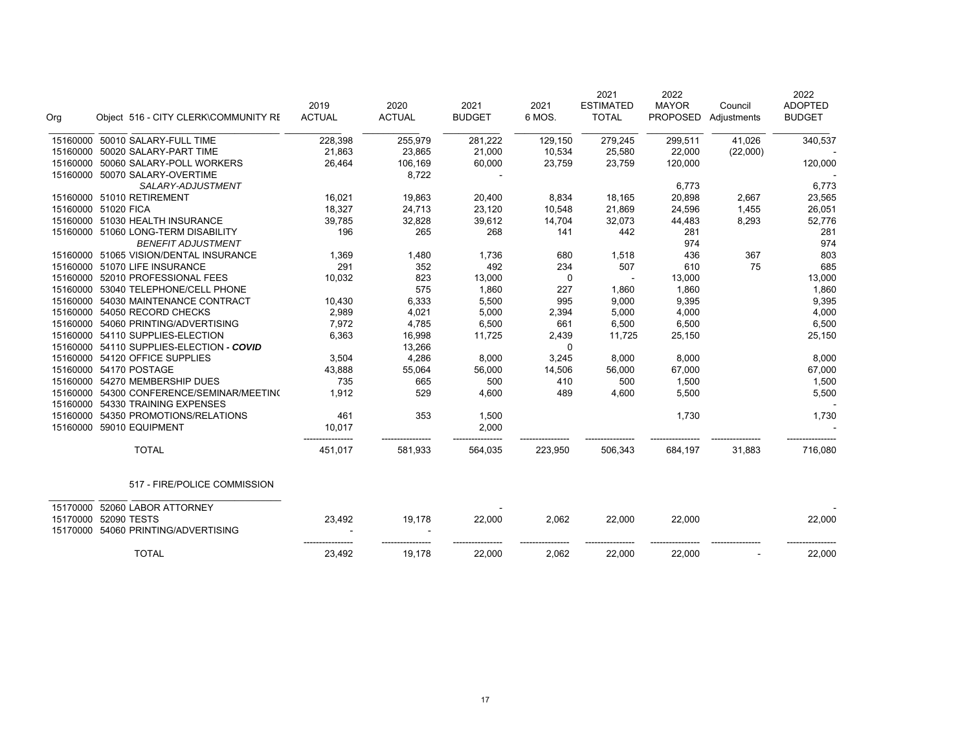|          |                                        | 2019          | 2020          | 2021          | 2021    | 2021<br><b>ESTIMATED</b> | 2022<br><b>MAYOR</b> | Council     | 2022<br><b>ADOPTED</b> |
|----------|----------------------------------------|---------------|---------------|---------------|---------|--------------------------|----------------------|-------------|------------------------|
| Org      | Object 516 - CITY CLERK\COMMUNITY RE   | <b>ACTUAL</b> | <b>ACTUAL</b> | <b>BUDGET</b> | 6 MOS.  | <b>TOTAL</b>             | <b>PROPOSED</b>      | Adjustments | <b>BUDGET</b>          |
| 15160000 | 50010 SALARY-FULL TIME                 | 228,398       | 255,979       | 281,222       | 129,150 | 279,245                  | 299,511              | 41,026      | 340,537                |
| 15160000 | 50020 SALARY-PART TIME                 | 21,863        | 23,865        | 21,000        | 10,534  | 25,580                   | 22,000               | (22,000)    |                        |
|          | 15160000 50060 SALARY-POLL WORKERS     | 26,464        | 106,169       | 60,000        | 23,759  | 23,759                   | 120,000              |             | 120,000                |
| 15160000 | 50070 SALARY-OVERTIME                  |               | 8,722         |               |         |                          |                      |             |                        |
|          | SALARY-ADJUSTMENT                      |               |               |               |         |                          | 6,773                |             | 6,773                  |
|          | 15160000 51010 RETIREMENT              | 16,021        | 19,863        | 20,400        | 8,834   | 18,165                   | 20,898               | 2,667       | 23,565                 |
|          | 15160000 51020 FICA                    | 18,327        | 24,713        | 23,120        | 10,548  | 21,869                   | 24,596               | 1,455       | 26,051                 |
|          | 15160000 51030 HEALTH INSURANCE        | 39,785        | 32,828        | 39,612        | 14,704  | 32,073                   | 44,483               | 8,293       | 52,776                 |
|          | 15160000 51060 LONG-TERM DISABILITY    | 196           | 265           | 268           | 141     | 442                      | 281                  |             | 281                    |
|          | <b>BENEFIT ADJUSTMENT</b>              |               |               |               |         |                          | 974                  |             | 974                    |
|          | 15160000 51065 VISION/DENTAL INSURANCE | 1,369         | 1,480         | 1,736         | 680     | 1,518                    | 436                  | 367         | 803                    |
|          | 15160000 51070 LIFE INSURANCE          | 291           | 352           | 492           | 234     | 507                      | 610                  | 75          | 685                    |
| 15160000 | 52010 PROFESSIONAL FEES                | 10,032        | 823           | 13,000        | 0       |                          | 13,000               |             | 13,000                 |
| 15160000 | 53040 TELEPHONE/CELL PHONE             |               | 575           | 1,860         | 227     | 1,860                    | 1,860                |             | 1,860                  |
| 15160000 | 54030 MAINTENANCE CONTRACT             | 10,430        | 6,333         | 5,500         | 995     | 9,000                    | 9,395                |             | 9,395                  |
| 15160000 | 54050 RECORD CHECKS                    | 2,989         | 4,021         | 5,000         | 2,394   | 5,000                    | 4,000                |             | 4,000                  |
| 15160000 | 54060 PRINTING/ADVERTISING             | 7,972         | 4,785         | 6,500         | 661     | 6,500                    | 6,500                |             | 6,500                  |
| 15160000 | 54110 SUPPLIES-ELECTION                | 6,363         | 16,998        | 11,725        | 2,439   | 11,725                   | 25,150               |             | 25,150                 |
| 15160000 | 54110 SUPPLIES-ELECTION - COVID        |               | 13,266        |               | 0       |                          |                      |             |                        |
| 15160000 | 54120 OFFICE SUPPLIES                  | 3,504         | 4,286         | 8,000         | 3,245   | 8,000                    | 8,000                |             | 8,000                  |
|          | 15160000 54170 POSTAGE                 | 43,888        | 55,064        | 56,000        | 14,506  | 56,000                   | 67,000               |             | 67,000                 |
| 15160000 | 54270 MEMBERSHIP DUES                  | 735           | 665           | 500           | 410     | 500                      | 1,500                |             | 1,500                  |
| 15160000 | 54300 CONFERENCE/SEMINAR/MEETIN(       | 1,912         | 529           | 4,600         | 489     | 4,600                    | 5,500                |             | 5,500                  |
| 15160000 | 54330 TRAINING EXPENSES                |               |               |               |         |                          |                      |             |                        |
| 15160000 | 54350 PROMOTIONS/RELATIONS             | 461           | 353           | 1,500         |         |                          | 1,730                |             | 1,730                  |
| 15160000 | 59010 EQUIPMENT                        | 10,017        |               | 2,000         |         |                          |                      |             |                        |
|          | <b>TOTAL</b>                           | 451,017       | 581,933       | 564,035       | 223,950 | 506,343                  | 684,197              | 31,883      | 716,080                |
|          | 517 - FIRE/POLICE COMMISSION           |               |               |               |         |                          |                      |             |                        |
| 15170000 | 52060 LABOR ATTORNEY                   |               |               |               |         |                          |                      |             |                        |
| 15170000 | 52090 TESTS                            | 23,492        | 19,178        | 22,000        | 2,062   | 22,000                   | 22,000               |             | 22,000                 |
|          | 15170000 54060 PRINTING/ADVERTISING    |               |               |               |         |                          |                      |             |                        |
|          | <b>TOTAL</b>                           | 23,492        | 19,178        | 22,000        | 2,062   | 22,000                   | 22,000               |             | 22,000                 |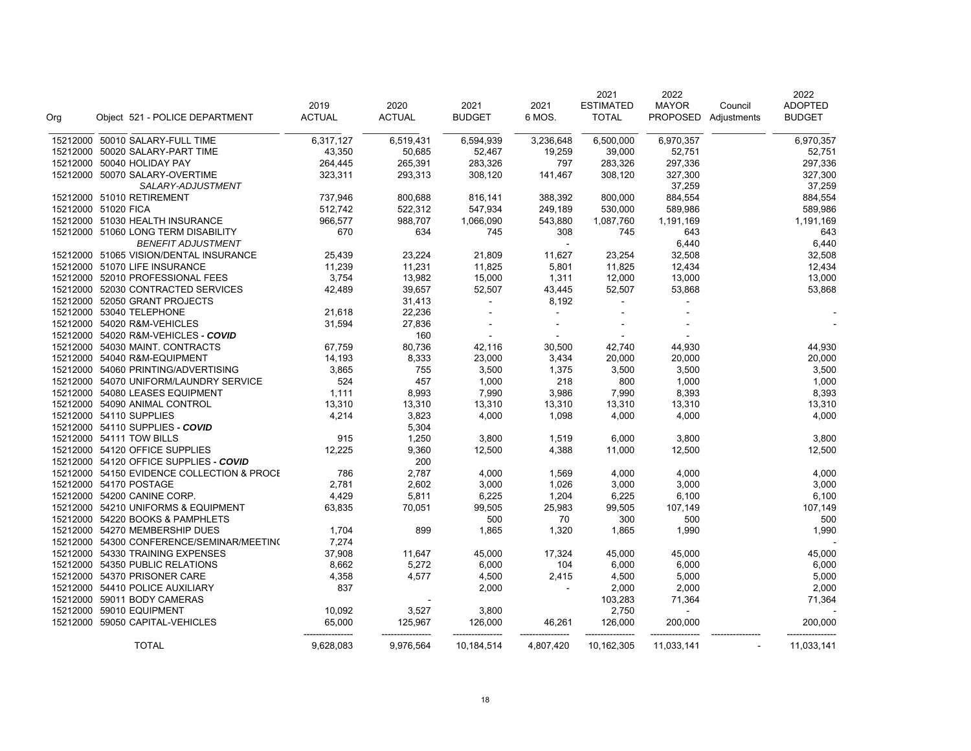|                     |                                                                  | 2019          | 2020          | 2021          | 2021            | 2021<br><b>ESTIMATED</b> | 2022<br><b>MAYOR</b> | Council              | 2022<br><b>ADOPTED</b> |
|---------------------|------------------------------------------------------------------|---------------|---------------|---------------|-----------------|--------------------------|----------------------|----------------------|------------------------|
| Org                 | Object 521 - POLICE DEPARTMENT                                   | <b>ACTUAL</b> | <b>ACTUAL</b> | <b>BUDGET</b> | 6 MOS.          | <b>TOTAL</b>             |                      | PROPOSED Adjustments | <b>BUDGET</b>          |
|                     | 15212000 50010 SALARY-FULL TIME                                  | 6,317,127     | 6,519,431     | 6,594,939     | 3,236,648       | 6,500,000                | 6,970,357            |                      | 6,970,357              |
|                     | 15212000 50020 SALARY-PART TIME                                  | 43,350        | 50,685        | 52,467        | 19,259          | 39,000                   | 52,751               |                      | 52,751                 |
|                     | 15212000 50040 HOLIDAY PAY                                       | 264,445       | 265,391       | 283,326       | 797             | 283,326                  | 297,336              |                      | 297,336                |
|                     | 15212000 50070 SALARY-OVERTIME<br>SALARY-ADJUSTMENT              | 323,311       | 293,313       | 308,120       | 141,467         | 308,120                  | 327,300<br>37,259    |                      | 327,300<br>37,259      |
|                     | 15212000 51010 RETIREMENT                                        | 737,946       | 800,688       | 816,141       | 388,392         | 800,000                  | 884,554              |                      | 884,554                |
| 15212000 51020 FICA |                                                                  | 512,742       | 522,312       | 547,934       | 249,189         | 530,000                  | 589,986              |                      | 589,986                |
|                     | 15212000 51030 HEALTH INSURANCE                                  | 966,577       | 988,707       | 1,066,090     | 543,880         | 1,087,760                | 1,191,169            |                      | 1,191,169              |
|                     | 15212000 51060 LONG TERM DISABILITY<br><b>BENEFIT ADJUSTMENT</b> | 670           | 634           | 745           | 308<br>$\omega$ | 745                      | 643<br>6,440         |                      | 643<br>6,440           |
|                     | 15212000 51065 VISION/DENTAL INSURANCE                           | 25,439        | 23,224        | 21,809        | 11,627          | 23,254                   | 32,508               |                      | 32,508                 |
|                     | 15212000 51070 LIFE INSURANCE                                    | 11,239        | 11,231        | 11,825        | 5,801           | 11,825                   | 12,434               |                      | 12,434                 |
|                     | 15212000 52010 PROFESSIONAL FEES                                 | 3,754         | 13,982        | 15,000        | 1,311           | 12,000                   | 13,000               |                      | 13,000                 |
|                     | 15212000 52030 CONTRACTED SERVICES                               | 42,489        | 39,657        | 52,507        | 43,445          | 52,507                   | 53,868               |                      | 53,868                 |
|                     | 15212000 52050 GRANT PROJECTS                                    |               | 31,413        | $\mathbf{r}$  | 8,192           | $\blacksquare$           |                      |                      |                        |
|                     | 15212000 53040 TELEPHONE                                         | 21,618        | 22,236        | $\sim$        |                 | $\overline{a}$           |                      |                      |                        |
|                     | 15212000 54020 R&M-VEHICLES                                      | 31,594        | 27,836        |               |                 |                          |                      |                      |                        |
|                     | 15212000 54020 R&M-VEHICLES - COVID                              |               | 160           | $\sim$        |                 |                          |                      |                      |                        |
|                     | 15212000 54030 MAINT. CONTRACTS                                  | 67,759        | 80,736        | 42,116        | 30,500          | 42,740                   | 44,930               |                      | 44,930                 |
|                     | 15212000 54040 R&M-EQUIPMENT                                     | 14,193        | 8,333         | 23,000        | 3,434           | 20,000                   | 20,000               |                      | 20,000                 |
|                     | 15212000 54060 PRINTING/ADVERTISING                              | 3,865         | 755           | 3,500         | 1,375           | 3,500                    | 3,500                |                      | 3,500                  |
|                     | 15212000 54070 UNIFORM/LAUNDRY SERVICE                           | 524           | 457           | 1,000         | 218             | 800                      | 1,000                |                      | 1,000                  |
|                     | 15212000 54080 LEASES EQUIPMENT                                  | 1,111         | 8,993         | 7,990         | 3,986           | 7,990                    | 8,393                |                      | 8,393                  |
|                     | 15212000 54090 ANIMAL CONTROL                                    | 13,310        | 13,310        | 13,310        | 13,310          | 13,310                   | 13,310               |                      | 13,310                 |
|                     | 15212000 54110 SUPPLIES                                          | 4,214         | 3,823         | 4,000         | 1,098           | 4,000                    | 4,000                |                      | 4,000                  |
|                     | 15212000 54110 SUPPLIES - COVID                                  |               | 5,304         |               |                 |                          |                      |                      |                        |
|                     | 15212000 54111 TOW BILLS                                         | 915           | 1,250         | 3,800         | 1,519           | 6,000                    | 3,800                |                      | 3,800                  |
|                     | 15212000 54120 OFFICE SUPPLIES                                   | 12,225        | 9,360         | 12,500        | 4,388           | 11,000                   | 12,500               |                      | 12,500                 |
|                     | 15212000 54120 OFFICE SUPPLIES - COVID                           |               | 200           |               |                 |                          |                      |                      |                        |
|                     | 15212000 54150 EVIDENCE COLLECTION & PROCE                       | 786           | 2,787         | 4,000         | 1,569           | 4,000                    | 4,000                |                      | 4,000                  |
|                     | 15212000 54170 POSTAGE                                           | 2,781         | 2,602         | 3,000         | 1,026           | 3,000                    | 3,000                |                      | 3,000                  |
|                     | 15212000 54200 CANINE CORP.                                      | 4,429         | 5,811         | 6,225         | 1,204           | 6,225                    | 6,100                |                      | 6,100                  |
|                     | 15212000 54210 UNIFORMS & EQUIPMENT                              | 63,835        | 70,051        | 99,505        | 25,983          | 99,505                   | 107,149              |                      | 107,149                |
|                     | 15212000 54220 BOOKS & PAMPHLETS                                 |               |               | 500           | 70              | 300                      | 500                  |                      | 500                    |
|                     | 15212000 54270 MEMBERSHIP DUES                                   | 1,704         | 899           | 1,865         | 1,320           | 1,865                    | 1,990                |                      | 1,990                  |
|                     | 15212000 54300 CONFERENCE/SEMINAR/MEETING                        | 7,274         |               |               |                 |                          |                      |                      |                        |
|                     | 15212000 54330 TRAINING EXPENSES                                 | 37,908        | 11,647        | 45,000        | 17,324          | 45,000                   | 45,000               |                      | 45,000                 |
|                     | 15212000 54350 PUBLIC RELATIONS                                  | 8,662         | 5,272         | 6,000         | 104             | 6,000                    | 6,000                |                      | 6,000                  |
|                     | 15212000 54370 PRISONER CARE                                     | 4,358         | 4,577         | 4,500         | 2,415           | 4,500                    | 5,000                |                      | 5,000                  |
|                     | 15212000 54410 POLICE AUXILIARY                                  | 837           |               | 2,000         |                 | 2,000                    | 2,000                |                      | 2,000                  |
|                     | 15212000 59011 BODY CAMERAS                                      |               |               |               |                 | 103,283                  | 71,364               |                      | 71,364                 |
|                     | 15212000 59010 EQUIPMENT                                         | 10,092        | 3,527         | 3,800         |                 | 2,750                    |                      |                      |                        |
|                     | 15212000 59050 CAPITAL-VEHICLES                                  | 65,000        | 125,967       | 126,000       | 46,261          | 126,000                  | 200,000              |                      | 200,000                |
|                     | <b>TOTAL</b>                                                     | 9.628.083     | 9.976.564     | 10,184,514    | 4,807,420       | 10,162,305               | 11,033,141           |                      | 11,033,141             |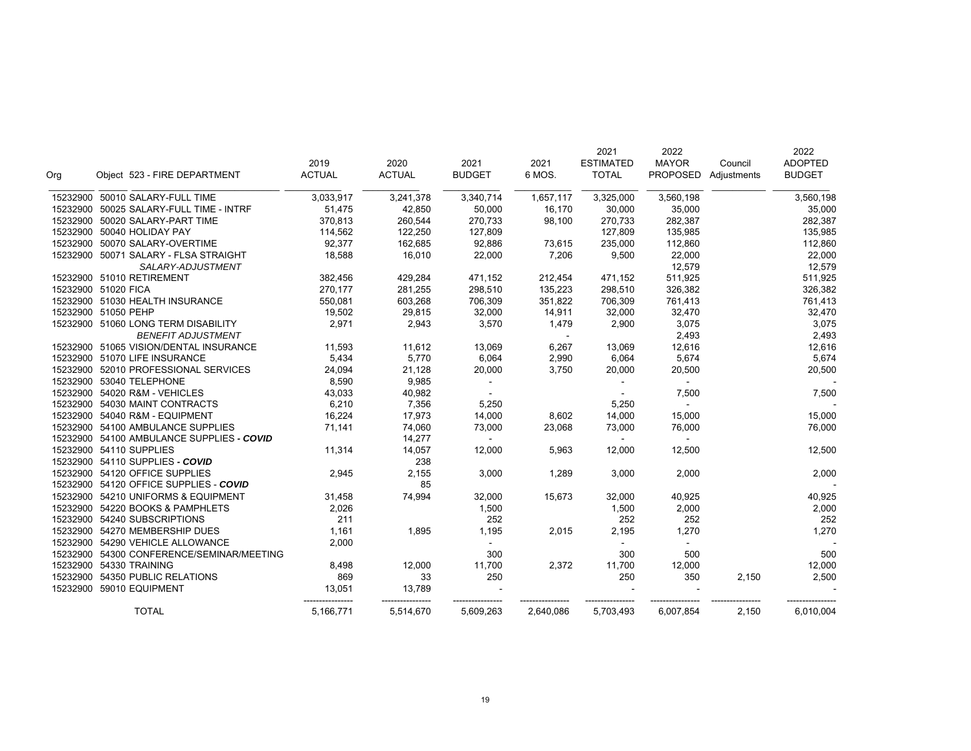|          |                                        |               |               |               |           | 2021             | 2022            |             | 2022           |
|----------|----------------------------------------|---------------|---------------|---------------|-----------|------------------|-----------------|-------------|----------------|
|          |                                        | 2019          | 2020          | 2021          | 2021      | <b>ESTIMATED</b> | <b>MAYOR</b>    | Council     | <b>ADOPTED</b> |
| Org      | Object 523 - FIRE DEPARTMENT           | <b>ACTUAL</b> | <b>ACTUAL</b> | <b>BUDGET</b> | 6 MOS.    | <b>TOTAL</b>     | <b>PROPOSED</b> | Adjustments | <b>BUDGET</b>  |
| 15232900 | 50010 SALARY-FULL TIME                 | 3,033,917     | 3,241,378     | 3,340,714     | 1,657,117 | 3,325,000        | 3,560,198       |             | 3,560,198      |
| 15232900 | 50025 SALARY-FULL TIME - INTRF         | 51,475        | 42,850        | 50,000        | 16,170    | 30,000           | 35,000          |             | 35,000         |
| 15232900 | 50020 SALARY-PART TIME                 | 370,813       | 260,544       | 270,733       | 98,100    | 270,733          | 282,387         |             | 282,387        |
| 15232900 | 50040 HOLIDAY PAY                      | 114,562       | 122,250       | 127,809       |           | 127,809          | 135,985         |             | 135,985        |
| 15232900 | 50070 SALARY-OVERTIME                  | 92,377        | 162,685       | 92,886        | 73,615    | 235,000          | 112,860         |             | 112,860        |
|          | 15232900 50071 SALARY - FLSA STRAIGHT  | 18,588        | 16,010        | 22,000        | 7,206     | 9,500            | 22,000          |             | 22,000         |
|          | SALARY-ADJUSTMENT                      |               |               |               |           |                  | 12,579          |             | 12,579         |
|          | 15232900 51010 RETIREMENT              | 382,456       | 429,284       | 471,152       | 212,454   | 471,152          | 511,925         |             | 511,925        |
|          | 15232900 51020 FICA                    | 270,177       | 281,255       | 298,510       | 135,223   | 298,510          | 326,382         |             | 326,382        |
|          | 15232900 51030 HEALTH INSURANCE        | 550,081       | 603,268       | 706,309       | 351,822   | 706,309          | 761,413         |             | 761,413        |
|          | 15232900 51050 PEHP                    | 19,502        | 29,815        | 32,000        | 14,911    | 32,000           | 32,470          |             | 32,470         |
|          | 15232900 51060 LONG TERM DISABILITY    | 2,971         | 2,943         | 3,570         | 1,479     | 2,900            | 3,075           |             | 3,075          |
|          | <b>BENEFIT ADJUSTMENT</b>              |               |               |               |           |                  | 2,493           |             | 2,493          |
|          | 15232900 51065 VISION/DENTAL INSURANCE | 11,593        | 11,612        | 13,069        | 6,267     | 13,069           | 12,616          |             | 12,616         |
|          | 15232900 51070 LIFE INSURANCE          | 5,434         | 5,770         | 6,064         | 2,990     | 6,064            | 5,674           |             | 5,674          |
| 15232900 | 52010 PROFESSIONAL SERVICES            | 24,094        | 21,128        | 20,000        | 3,750     | 20,000           | 20,500          |             | 20,500         |
|          | 15232900 53040 TELEPHONE               | 8,590         | 9,985         |               |           |                  |                 |             |                |
|          | 15232900 54020 R&M - VEHICLES          | 43,033        | 40,982        |               |           | $\sim$           | 7,500           |             | 7,500          |
| 15232900 | 54030 MAINT CONTRACTS                  | 6,210         | 7,356         | 5,250         |           | 5,250            | $\mathbf{r}$    |             |                |
| 15232900 | 54040 R&M - EQUIPMENT                  | 16,224        | 17,973        | 14,000        | 8,602     | 14,000           | 15,000          |             | 15,000         |
|          | 15232900 54100 AMBULANCE SUPPLIES      | 71,141        | 74,060        | 73,000        | 23,068    | 73,000           | 76,000          |             | 76,000         |
| 15232900 | 54100 AMBULANCE SUPPLIES - COVID       |               | 14,277        | $\sim$        |           | $\sim$           | $\sim$          |             |                |
| 15232900 | 54110 SUPPLIES                         | 11,314        | 14,057        | 12,000        | 5,963     | 12,000           | 12,500          |             | 12,500         |
|          | 15232900 54110 SUPPLIES - COVID        |               | 238           |               |           |                  |                 |             |                |
| 15232900 | 54120 OFFICE SUPPLIES                  | 2,945         | 2,155         | 3,000         | 1,289     | 3,000            | 2,000           |             | 2,000          |
| 15232900 | 54120 OFFICE SUPPLIES - COVID          |               | 85            |               |           |                  |                 |             |                |
| 15232900 | 54210 UNIFORMS & EQUIPMENT             | 31,458        | 74,994        | 32,000        | 15,673    | 32,000           | 40,925          |             | 40,925         |
|          | 15232900 54220 BOOKS & PAMPHLETS       | 2,026         |               | 1,500         |           | 1,500            | 2,000           |             | 2,000          |
| 15232900 | 54240 SUBSCRIPTIONS                    | 211           |               | 252           |           | 252              | 252             |             | 252            |
| 15232900 | 54270 MEMBERSHIP DUES                  | 1,161         | 1,895         | 1,195         | 2,015     | 2,195            | 1,270           |             | 1,270          |
|          | 15232900 54290 VEHICLE ALLOWANCE       | 2,000         |               |               |           |                  |                 |             |                |
| 15232900 | 54300 CONFERENCE/SEMINAR/MEETING       |               |               | 300           |           | 300              | 500             |             | 500            |
|          | 15232900 54330 TRAINING                | 8,498         | 12,000        | 11,700        | 2,372     | 11,700           | 12,000          |             | 12,000         |
| 15232900 | 54350 PUBLIC RELATIONS                 | 869           | 33            | 250           |           | 250              | 350             | 2,150       | 2,500          |
|          | 15232900 59010 EQUIPMENT               | 13,051        | 13,789        |               |           |                  |                 |             |                |
|          | <b>TOTAL</b>                           | 5,166,771     | 5,514,670     | 5,609,263     | 2,640,086 | 5,703,493        | 6,007,854       | 2,150       | 6,010,004      |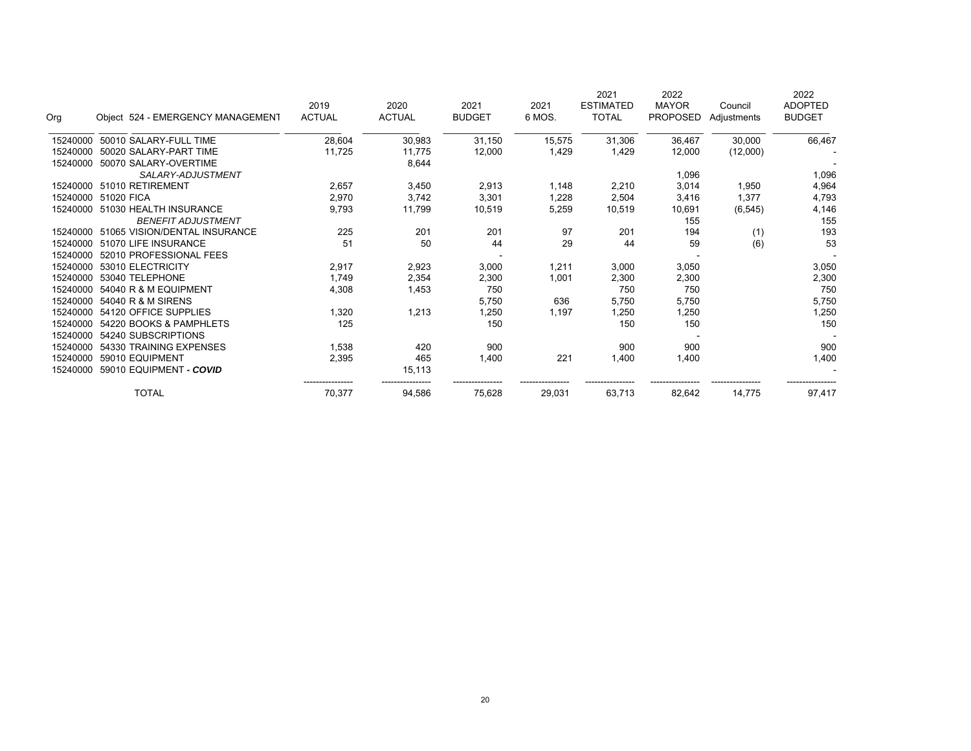| Org      | Object 524 - EMERGENCY MANAGEMENT | 2019<br><b>ACTUAL</b> | 2020<br><b>ACTUAL</b> | 2021<br><b>BUDGET</b> | 2021<br>6 MOS. | 2021<br><b>ESTIMATED</b><br><b>TOTAL</b> | 2022<br><b>MAYOR</b><br><b>PROPOSED</b> | Council<br>Adjustments | 2022<br><b>ADOPTED</b><br><b>BUDGET</b> |
|----------|-----------------------------------|-----------------------|-----------------------|-----------------------|----------------|------------------------------------------|-----------------------------------------|------------------------|-----------------------------------------|
| 15240000 | 50010 SALARY-FULL TIME            | 28,604                | 30,983                | 31,150                | 15,575         | 31,306                                   | 36,467                                  | 30,000                 | 66,467                                  |
| 15240000 | 50020 SALARY-PART TIME            | 11,725                | 11,775                | 12,000                | 1,429          | 1,429                                    | 12,000                                  | (12,000)               |                                         |
| 15240000 | 50070 SALARY-OVERTIME             |                       | 8,644                 |                       |                |                                          |                                         |                        |                                         |
|          | SALARY-ADJUSTMENT                 |                       |                       |                       |                |                                          | 1,096                                   |                        | 1,096                                   |
| 15240000 | 51010 RETIREMENT                  | 2,657                 | 3,450                 | 2,913                 | 1,148          | 2,210                                    | 3,014                                   | 1,950                  | 4,964                                   |
| 15240000 | 51020 FICA                        | 2,970                 | 3,742                 | 3,301                 | 1,228          | 2,504                                    | 3,416                                   | 1,377                  | 4,793                                   |
| 15240000 | 51030 HEALTH INSURANCE            | 9,793                 | 11,799                | 10,519                | 5,259          | 10,519                                   | 10,691                                  | (6, 545)               | 4,146                                   |
|          | <b>BENEFIT ADJUSTMENT</b>         |                       |                       |                       |                |                                          | 155                                     |                        | 155                                     |
| 15240000 | 51065 VISION/DENTAL INSURANCE     | 225                   | 201                   | 201                   | 97             | 201                                      | 194                                     | (1)                    | 193                                     |
| 15240000 | 51070 LIFE INSURANCE              | 51                    | 50                    | 44                    | 29             | 44                                       | 59                                      | (6)                    | 53                                      |
| 15240000 | 52010 PROFESSIONAL FEES           |                       |                       |                       |                |                                          |                                         |                        |                                         |
| 15240000 | 53010 ELECTRICITY                 | 2,917                 | 2,923                 | 3,000                 | 1,211          | 3,000                                    | 3,050                                   |                        | 3,050                                   |
| 15240000 | 53040 TELEPHONE                   | 1,749                 | 2,354                 | 2,300                 | 1,001          | 2,300                                    | 2,300                                   |                        | 2,300                                   |
| 15240000 | 54040 R & M EQUIPMENT             | 4,308                 | 1,453                 | 750                   |                | 750                                      | 750                                     |                        | 750                                     |
| 15240000 | 54040 R & M SIRENS                |                       |                       | 5,750                 | 636            | 5,750                                    | 5,750                                   |                        | 5,750                                   |
| 15240000 | 54120 OFFICE SUPPLIES             | 1,320                 | 1,213                 | 1,250                 | 1,197          | 1,250                                    | 1,250                                   |                        | 1,250                                   |
| 15240000 | 54220 BOOKS & PAMPHLETS           | 125                   |                       | 150                   |                | 150                                      | 150                                     |                        | 150                                     |
| 15240000 | 54240 SUBSCRIPTIONS               |                       |                       |                       |                |                                          |                                         |                        |                                         |
| 15240000 | 54330 TRAINING EXPENSES           | 1,538                 | 420                   | 900                   |                | 900                                      | 900                                     |                        | 900                                     |
| 15240000 | 59010 EQUIPMENT                   | 2,395                 | 465                   | 1,400                 | 221            | 1,400                                    | 1,400                                   |                        | 1,400                                   |
| 15240000 | 59010 EQUIPMENT - COVID           |                       | 15,113                |                       |                |                                          |                                         |                        |                                         |
|          | <b>TOTAL</b>                      | 70,377                | 94,586                | 75,628                | 29,031         | 63,713                                   | 82,642                                  | 14,775                 | 97,417                                  |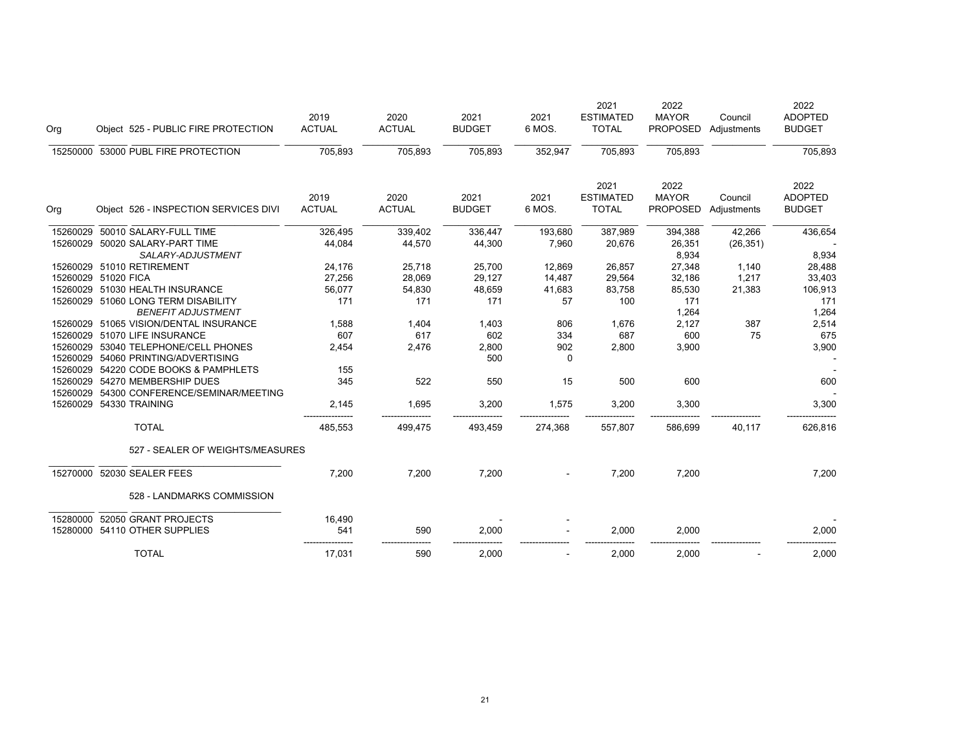| Org                 | Object 525 - PUBLIC FIRE PROTECTION                              | 2019<br><b>ACTUAL</b> | 2020<br><b>ACTUAL</b> | 2021<br><b>BUDGET</b> | 2021<br>6 MOS. | 2021<br><b>ESTIMATED</b><br><b>TOTAL</b> | 2022<br><b>MAYOR</b><br><b>PROPOSED</b> | Council<br>Adjustments | 2022<br><b>ADOPTED</b><br><b>BUDGET</b> |
|---------------------|------------------------------------------------------------------|-----------------------|-----------------------|-----------------------|----------------|------------------------------------------|-----------------------------------------|------------------------|-----------------------------------------|
| 15250000            | 53000 PUBL FIRE PROTECTION                                       | 705,893               | 705,893               | 705,893               | 352,947        | 705,893                                  | 705,893                                 |                        | 705,893                                 |
| Org                 | Object 526 - INSPECTION SERVICES DIVI                            | 2019<br><b>ACTUAL</b> | 2020<br><b>ACTUAL</b> | 2021<br><b>BUDGET</b> | 2021<br>6 MOS. | 2021<br><b>ESTIMATED</b><br><b>TOTAL</b> | 2022<br><b>MAYOR</b><br><b>PROPOSED</b> | Council<br>Adjustments | 2022<br><b>ADOPTED</b><br><b>BUDGET</b> |
| 15260029            | 50010 SALARY-FULL TIME                                           | 326,495               | 339,402               | 336,447               | 193,680        | 387,989                                  | 394,388                                 | 42,266                 | 436,654                                 |
|                     | 15260029 50020 SALARY-PART TIME                                  | 44,084                | 44,570                | 44,300                | 7,960          | 20,676                                   | 26,351                                  | (26, 351)              |                                         |
|                     | SALARY-ADJUSTMENT                                                |                       |                       |                       |                |                                          | 8,934                                   |                        | 8,934                                   |
|                     | 15260029 51010 RETIREMENT                                        | 24,176                | 25,718                | 25,700                | 12,869         | 26,857                                   | 27,348                                  | 1,140                  | 28,488                                  |
| 15260029 51020 FICA |                                                                  | 27,256                | 28,069                | 29,127                | 14,487         | 29,564                                   | 32,186                                  | 1,217                  | 33,403                                  |
|                     | 15260029 51030 HEALTH INSURANCE                                  | 56,077                | 54,830                | 48,659                | 41,683         | 83,758                                   | 85,530                                  | 21,383                 | 106,913                                 |
|                     | 15260029 51060 LONG TERM DISABILITY<br><b>BENEFIT ADJUSTMENT</b> | 171                   | 171                   | 171                   | 57             | 100                                      | 171<br>1,264                            |                        | 171<br>1,264                            |
|                     | 15260029 51065 VISION/DENTAL INSURANCE                           | 1,588                 | 1,404                 | 1,403                 | 806            | 1,676                                    | 2,127                                   | 387                    | 2,514                                   |
|                     | 15260029 51070 LIFE INSURANCE                                    | 607                   | 617                   | 602                   | 334            | 687                                      | 600                                     | 75                     | 675                                     |
| 15260029            | 53040 TELEPHONE/CELL PHONES                                      | 2,454                 | 2,476                 | 2,800                 | 902            | 2,800                                    | 3,900                                   |                        | 3,900                                   |
| 15260029            | 54060 PRINTING/ADVERTISING                                       |                       |                       | 500                   | 0              |                                          |                                         |                        |                                         |
| 15260029            | 54220 CODE BOOKS & PAMPHLETS                                     | 155                   |                       |                       |                |                                          |                                         |                        |                                         |
| 15260029            | 54270 MEMBERSHIP DUES                                            | 345                   | 522                   | 550                   | 15             | 500                                      | 600                                     |                        | 600                                     |
| 15260029            | 54300 CONFERENCE/SEMINAR/MEETING                                 |                       |                       |                       |                |                                          |                                         |                        |                                         |
| 15260029            | 54330 TRAINING                                                   | 2,145                 | 1,695                 | 3,200                 | 1,575          | 3,200                                    | 3,300                                   |                        | 3,300                                   |
|                     | <b>TOTAL</b>                                                     | 485,553               | 499,475               | 493,459               | 274,368        | 557,807                                  | 586,699                                 | 40,117                 | 626,816                                 |
|                     | 527 - SEALER OF WEIGHTS/MEASURES                                 |                       |                       |                       |                |                                          |                                         |                        |                                         |
|                     | 15270000 52030 SEALER FEES                                       | 7,200                 | 7,200                 | 7,200                 |                | 7,200                                    | 7,200                                   |                        | 7,200                                   |
|                     | 528 - LANDMARKS COMMISSION                                       |                       |                       |                       |                |                                          |                                         |                        |                                         |
| 15280000            | 52050 GRANT PROJECTS                                             | 16,490                |                       |                       |                |                                          |                                         |                        |                                         |
|                     | 15280000 54110 OTHER SUPPLIES                                    | 541                   | 590                   | 2,000                 |                | 2,000                                    | 2,000                                   |                        | 2,000                                   |
|                     | <b>TOTAL</b>                                                     | 17,031                | 590                   | 2,000                 |                | 2,000                                    | 2,000                                   |                        | 2,000                                   |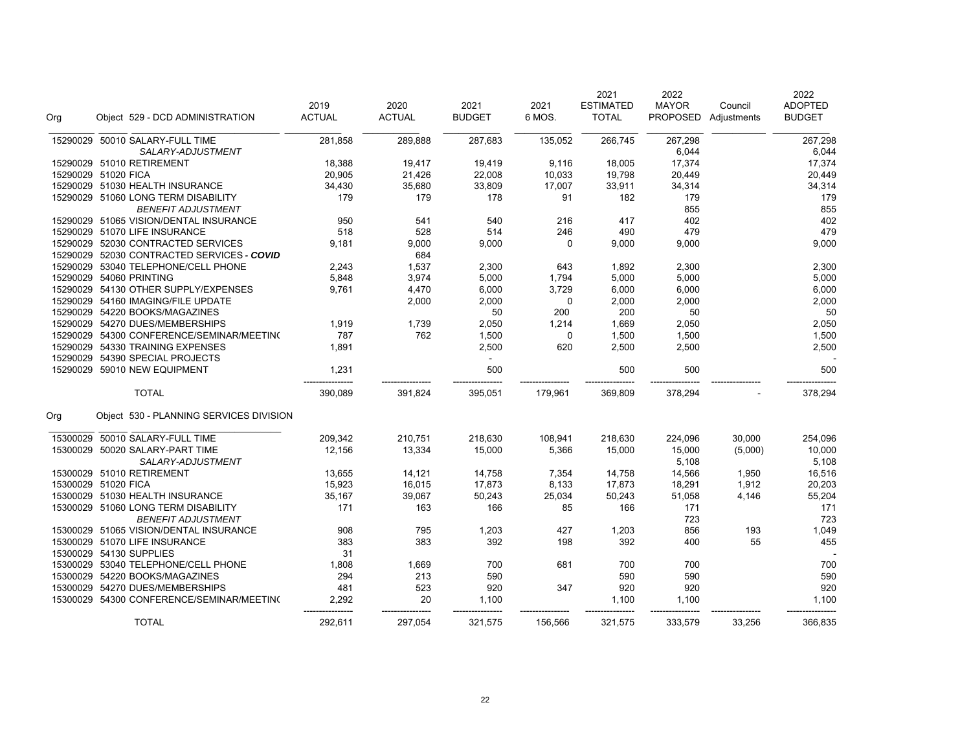| Org      |                         | Object 529 - DCD ADMINISTRATION            | 2019<br><b>ACTUAL</b> | 2020<br><b>ACTUAL</b> | 2021<br><b>BUDGET</b> | 2021<br>6 MOS. | 2021<br><b>ESTIMATED</b><br><b>TOTAL</b> | 2022<br><b>MAYOR</b><br><b>PROPOSED</b> | Council<br>Adjustments | 2022<br><b>ADOPTED</b><br><b>BUDGET</b> |
|----------|-------------------------|--------------------------------------------|-----------------------|-----------------------|-----------------------|----------------|------------------------------------------|-----------------------------------------|------------------------|-----------------------------------------|
| 15290029 |                         | 50010 SALARY-FULL TIME                     | 281,858               | 289,888               | 287,683               | 135,052        | 266,745                                  | 267,298                                 |                        | 267,298                                 |
|          |                         | SALARY-ADJUSTMENT                          |                       |                       |                       |                |                                          | 6,044                                   |                        | 6,044                                   |
|          |                         | 15290029 51010 RETIREMENT                  | 18,388                | 19,417                | 19,419                | 9,116          | 18,005                                   | 17,374                                  |                        | 17,374                                  |
|          | 15290029 51020 FICA     |                                            | 20,905                | 21,426                | 22,008                | 10,033         | 19,798                                   | 20,449                                  |                        | 20,449                                  |
|          |                         | 15290029 51030 HEALTH INSURANCE            | 34,430                | 35,680                | 33,809                | 17,007         | 33,911                                   | 34,314                                  |                        | 34,314                                  |
|          |                         | 15290029 51060 LONG TERM DISABILITY        | 179                   | 179                   | 178                   | 91             | 182                                      | 179                                     |                        | 179                                     |
|          |                         | <b>BENEFIT ADJUSTMENT</b>                  |                       |                       |                       |                |                                          | 855                                     |                        | 855                                     |
|          |                         | 15290029 51065 VISION/DENTAL INSURANCE     | 950                   | 541                   | 540                   | 216            | 417                                      | 402                                     |                        | 402                                     |
|          |                         | 15290029 51070 LIFE INSURANCE              | 518                   | 528                   | 514                   | 246            | 490                                      | 479                                     |                        | 479                                     |
|          |                         | 15290029 52030 CONTRACTED SERVICES         | 9,181                 | 9,000                 | 9,000                 | $\mathbf 0$    | 9,000                                    | 9,000                                   |                        | 9,000                                   |
|          |                         | 15290029 52030 CONTRACTED SERVICES - COVID |                       | 684                   |                       |                |                                          |                                         |                        |                                         |
|          |                         | 15290029 53040 TELEPHONE/CELL PHONE        | 2,243                 | 1,537                 | 2,300                 | 643            | 1,892                                    | 2,300                                   |                        | 2,300                                   |
|          | 15290029 54060 PRINTING |                                            | 5,848                 | 3,974                 | 5,000                 | 1,794          | 5,000                                    | 5,000                                   |                        | 5,000                                   |
|          |                         | 15290029 54130 OTHER SUPPLY/EXPENSES       | 9,761                 | 4,470                 | 6,000                 | 3,729          | 6,000                                    | 6,000                                   |                        | 6,000                                   |
|          |                         | 15290029 54160 IMAGING/FILE UPDATE         |                       | 2,000                 | 2,000                 | 0              | 2,000                                    | 2,000                                   |                        | 2,000                                   |
|          |                         | 15290029 54220 BOOKS/MAGAZINES             |                       |                       | 50                    | 200            | 200                                      | 50                                      |                        | 50                                      |
|          |                         | 15290029 54270 DUES/MEMBERSHIPS            | 1,919                 | 1,739                 | 2,050                 | 1,214          | 1,669                                    | 2,050                                   |                        | 2,050                                   |
|          |                         | 15290029 54300 CONFERENCE/SEMINAR/MEETING  | 787                   | 762                   | 1,500                 | 0              | 1,500                                    | 1,500                                   |                        | 1,500                                   |
|          |                         | 15290029 54330 TRAINING EXPENSES           | 1,891                 |                       | 2,500                 | 620            | 2,500                                    | 2,500                                   |                        | 2,500                                   |
|          |                         | 15290029 54390 SPECIAL PROJECTS            |                       |                       |                       |                |                                          |                                         |                        |                                         |
|          |                         | 15290029 59010 NEW EQUIPMENT               | 1,231                 |                       | 500                   |                | 500                                      | 500                                     |                        | 500                                     |
|          |                         | <b>TOTAL</b>                               | 390,089               | 391,824               | 395,051               | 179,961        | 369,809                                  | 378,294                                 |                        | 378,294                                 |
| Org      |                         | Object 530 - PLANNING SERVICES DIVISION    |                       |                       |                       |                |                                          |                                         |                        |                                         |
| 15300029 |                         | 50010 SALARY-FULL TIME                     | 209,342               | 210,751               | 218,630               | 108,941        | 218,630                                  | 224,096                                 | 30,000                 | 254,096                                 |
| 15300029 |                         | 50020 SALARY-PART TIME                     | 12,156                | 13,334                | 15,000                | 5,366          | 15,000                                   | 15,000                                  | (5,000)                | 10,000                                  |
|          |                         | SALARY-ADJUSTMENT                          |                       |                       |                       |                |                                          | 5,108                                   |                        | 5,108                                   |
|          |                         | 15300029 51010 RETIREMENT                  | 13,655                | 14,121                | 14,758                | 7,354          | 14,758                                   | 14,566                                  | 1,950                  | 16,516                                  |
|          | 15300029 51020 FICA     |                                            | 15,923                | 16,015                | 17,873                | 8,133          | 17,873                                   | 18,291                                  | 1,912                  | 20,203                                  |
|          |                         | 15300029 51030 HEALTH INSURANCE            | 35,167                | 39,067                | 50,243                | 25,034         | 50,243                                   | 51,058                                  | 4,146                  | 55,204                                  |
|          |                         | 15300029 51060 LONG TERM DISABILITY        | 171                   | 163                   | 166                   | 85             | 166                                      | 171                                     |                        | 171                                     |
|          |                         | <b>BENEFIT ADJUSTMENT</b>                  |                       |                       |                       |                |                                          | 723                                     |                        | 723                                     |
|          |                         | 15300029 51065 VISION/DENTAL INSURANCE     | 908                   | 795                   | 1,203                 | 427            | 1,203                                    | 856                                     | 193                    | 1,049                                   |
|          |                         | 15300029 51070 LIFE INSURANCE              | 383                   | 383                   | 392                   | 198            | 392                                      | 400                                     | 55                     | 455                                     |
|          | 15300029 54130 SUPPLIES |                                            | 31                    |                       |                       |                |                                          |                                         |                        |                                         |
|          |                         | 15300029 53040 TELEPHONE/CELL PHONE        | 1,808                 | 1,669                 | 700                   | 681            | 700                                      | 700                                     |                        | 700                                     |
|          |                         | 15300029 54220 BOOKS/MAGAZINES             | 294                   | 213                   | 590                   |                | 590                                      | 590                                     |                        | 590                                     |
|          |                         | 15300029 54270 DUES/MEMBERSHIPS            | 481                   | 523                   | 920                   | 347            | 920                                      | 920                                     |                        | 920                                     |
|          |                         | 15300029 54300 CONFERENCE/SEMINAR/MEETING  | 2,292                 | 20                    | 1,100                 |                | 1,100                                    | 1,100                                   |                        | 1,100                                   |
|          |                         | <b>TOTAL</b>                               | 292,611               | 297,054               | 321,575               | 156,566        | 321,575                                  | 333,579                                 | 33,256                 | 366,835                                 |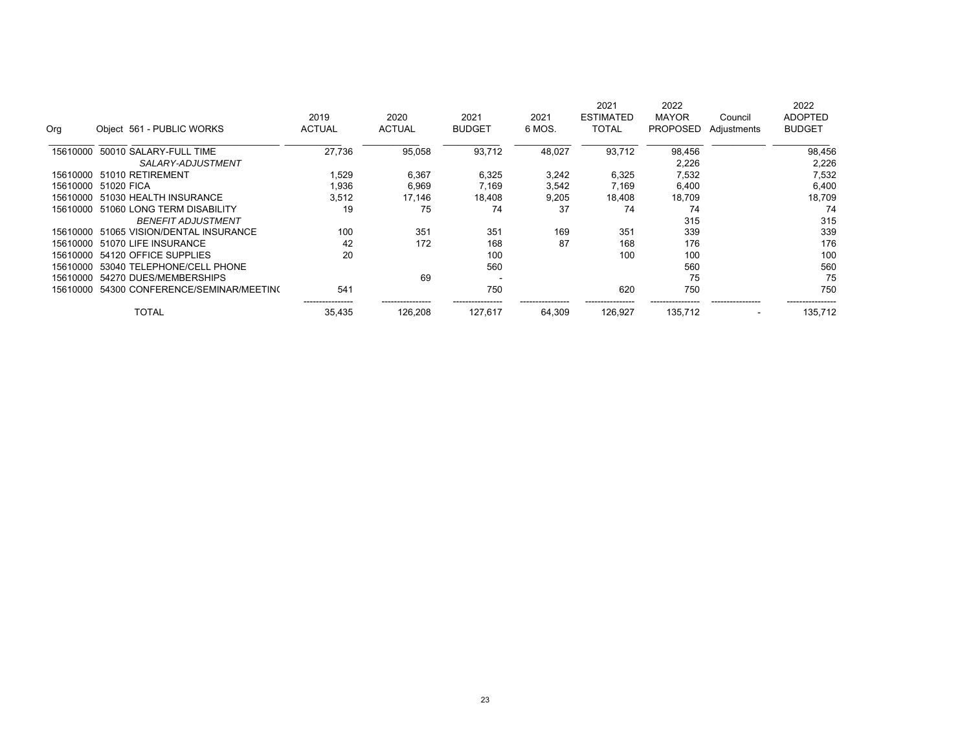|          |                            |                                  |               |               |               |        | 2021             | 2022            |                          | 2022           |
|----------|----------------------------|----------------------------------|---------------|---------------|---------------|--------|------------------|-----------------|--------------------------|----------------|
|          |                            |                                  | 2019          | 2020          | 2021          | 2021   | <b>ESTIMATED</b> | <b>MAYOR</b>    | Council                  | <b>ADOPTED</b> |
| Org      | Object 561 - PUBLIC WORKS  |                                  | <b>ACTUAL</b> | <b>ACTUAL</b> | <b>BUDGET</b> | 6 MOS. | <b>TOTAL</b>     | <b>PROPOSED</b> | Adjustments              | <b>BUDGET</b>  |
| 15610000 | 50010 SALARY-FULL TIME     |                                  | 27,736        | 95,058        | 93,712        | 48,027 | 93,712           | 98,456          |                          | 98,456         |
|          |                            | SALARY-ADJUSTMENT                |               |               |               |        |                  | 2,226           |                          | 2,226          |
| 15610000 | 51010 RETIREMENT           |                                  | 1,529         | 6,367         | 6,325         | 3,242  | 6,325            | 7,532           |                          | 7,532          |
| 15610000 | 51020 FICA                 |                                  | 1,936         | 6,969         | 7.169         | 3,542  | 7,169            | 6,400           |                          | 6,400          |
| 15610000 | 51030 HEALTH INSURANCE     |                                  | 3,512         | 17,146        | 18,408        | 9,205  | 18,408           | 18,709          |                          | 18,709         |
| 15610000 | 51060 LONG TERM DISABILITY |                                  | 19            | 75            | 74            | 37     | 74               | 74              |                          | 74             |
|          |                            | <b>BENEFIT ADJUSTMENT</b>        |               |               |               |        |                  | 315             |                          | 315            |
| 15610000 |                            | 51065 VISION/DENTAL INSURANCE    | 100           | 351           | 351           | 169    | 351              | 339             |                          | 339            |
| 15610000 | 51070 LIFE INSURANCE       |                                  | 42            | 172           | 168           | 87     | 168              | 176             |                          | 176            |
| 15610000 | 54120 OFFICE SUPPLIES      |                                  | 20            |               | 100           |        | 100              | 100             |                          | 100            |
| 15610000 |                            | 53040 TELEPHONE/CELL PHONE       |               |               | 560           |        |                  | 560             |                          | 560            |
| 15610000 | 54270 DUES/MEMBERSHIPS     |                                  |               | 69            |               |        |                  | 75              |                          | 75             |
| 15610000 |                            | 54300 CONFERENCE/SEMINAR/MEETING | 541           |               | 750           |        | 620              | 750             |                          | 750            |
|          | <b>TOTAL</b>               |                                  | 35,435        | 126,208       | 127,617       | 64.309 | 126,927          | 135,712         | $\overline{\phantom{a}}$ | 135,712        |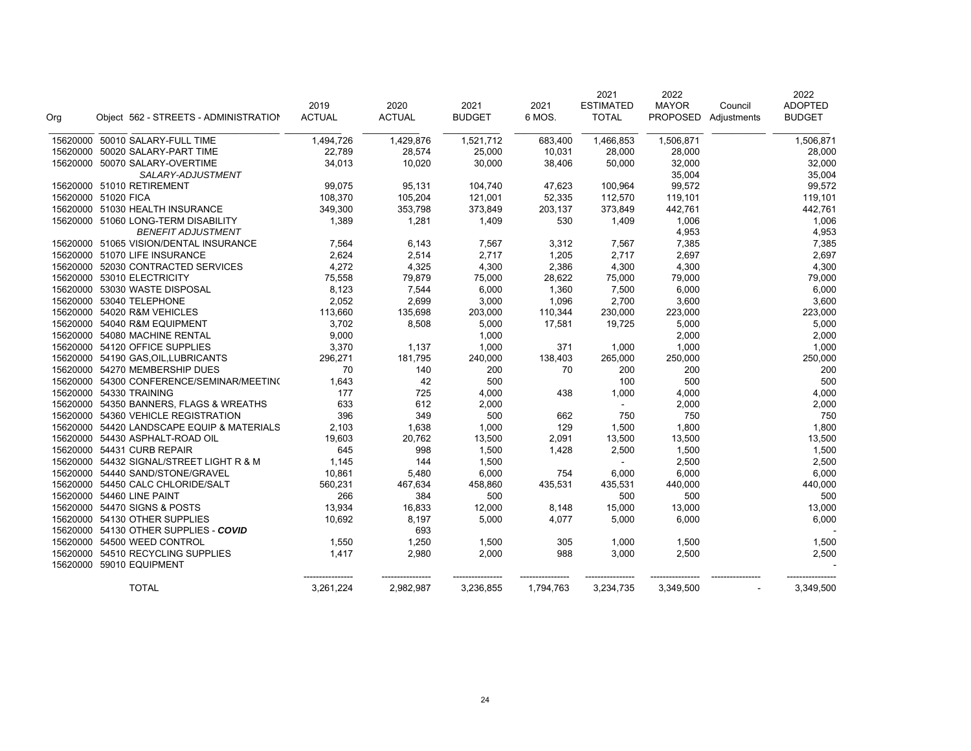|     |                                            |               |               |               |           | 2021             | 2022            |             | 2022           |
|-----|--------------------------------------------|---------------|---------------|---------------|-----------|------------------|-----------------|-------------|----------------|
|     |                                            | 2019          | 2020          | 2021          | 2021      | <b>ESTIMATED</b> | <b>MAYOR</b>    | Council     | <b>ADOPTED</b> |
| Org | Object 562 - STREETS - ADMINISTRATION      | <b>ACTUAL</b> | <b>ACTUAL</b> | <b>BUDGET</b> | 6 MOS.    | <b>TOTAL</b>     | <b>PROPOSED</b> | Adjustments | <b>BUDGET</b>  |
|     | 15620000 50010 SALARY-FULL TIME            | 1,494,726     | 1,429,876     | 1,521,712     | 683,400   | 1,466,853        | 1,506,871       |             | 1,506,871      |
|     | 15620000 50020 SALARY-PART TIME            | 22,789        | 28,574        | 25,000        | 10,031    | 28,000           | 28,000          |             | 28,000         |
|     | 15620000 50070 SALARY-OVERTIME             | 34,013        | 10,020        | 30,000        | 38,406    | 50,000           | 32,000          |             | 32,000         |
|     | SALARY-ADJUSTMENT                          |               |               |               |           |                  | 35,004          |             | 35,004         |
|     | 15620000 51010 RETIREMENT                  | 99,075        | 95,131        | 104,740       | 47,623    | 100,964          | 99,572          |             | 99,572         |
|     | 15620000 51020 FICA                        | 108,370       | 105,204       | 121,001       | 52,335    | 112,570          | 119,101         |             | 119,101        |
|     | 15620000 51030 HEALTH INSURANCE            | 349,300       | 353,798       | 373,849       | 203,137   | 373,849          | 442,761         |             | 442,761        |
|     | 15620000 51060 LONG-TERM DISABILITY        | 1,389         | 1,281         | 1,409         | 530       | 1,409            | 1,006           |             | 1,006          |
|     | <b>BENEFIT ADJUSTMENT</b>                  |               |               |               |           |                  | 4,953           |             | 4,953          |
|     | 15620000 51065 VISION/DENTAL INSURANCE     | 7,564         | 6,143         | 7,567         | 3,312     | 7,567            | 7,385           |             | 7,385          |
|     | 15620000 51070 LIFE INSURANCE              | 2,624         | 2,514         | 2,717         | 1,205     | 2,717            | 2,697           |             | 2,697          |
|     | 15620000 52030 CONTRACTED SERVICES         | 4,272         | 4,325         | 4,300         | 2,386     | 4,300            | 4,300           |             | 4,300          |
|     | 15620000 53010 ELECTRICITY                 | 75,558        | 79,879        | 75,000        | 28,622    | 75,000           | 79,000          |             | 79,000         |
|     | 15620000 53030 WASTE DISPOSAL              | 8,123         | 7,544         | 6,000         | 1,360     | 7,500            | 6,000           |             | 6,000          |
|     | 15620000 53040 TELEPHONE                   | 2,052         | 2,699         | 3,000         | 1,096     | 2,700            | 3,600           |             | 3,600          |
|     | 15620000 54020 R&M VEHICLES                | 113,660       | 135,698       | 203,000       | 110,344   | 230,000          | 223,000         |             | 223,000        |
|     | 15620000 54040 R&M EQUIPMENT               | 3,702         | 8,508         | 5,000         | 17,581    | 19,725           | 5,000           |             | 5,000          |
|     | 15620000 54080 MACHINE RENTAL              | 9,000         |               | 1,000         |           |                  | 2,000           |             | 2,000          |
|     | 15620000 54120 OFFICE SUPPLIES             | 3,370         | 1,137         | 1,000         | 371       | 1,000            | 1,000           |             | 1,000          |
|     | 15620000 54190 GAS, OIL, LUBRICANTS        | 296,271       | 181,795       | 240,000       | 138,403   | 265,000          | 250,000         |             | 250,000        |
|     | 15620000 54270 MEMBERSHIP DUES             | 70            | 140           | 200           | 70        | 200              | 200             |             | 200            |
|     | 15620000 54300 CONFERENCE/SEMINAR/MEETIN(  | 1,643         | 42            | 500           |           | 100              | 500             |             | 500            |
|     | 15620000 54330 TRAINING                    | 177           | 725           | 4,000         | 438       | 1,000            | 4,000           |             | 4,000          |
|     | 15620000 54350 BANNERS, FLAGS & WREATHS    | 633           | 612           | 2,000         |           | $\blacksquare$   | 2,000           |             | 2,000          |
|     | 15620000 54360 VEHICLE REGISTRATION        | 396           | 349           | 500           | 662       | 750              | 750             |             | 750            |
|     | 15620000 54420 LANDSCAPE EQUIP & MATERIALS | 2,103         | 1,638         | 1,000         | 129       | 1,500            | 1,800           |             | 1,800          |
|     | 15620000 54430 ASPHALT-ROAD OIL            | 19,603        | 20,762        | 13,500        | 2,091     | 13,500           | 13,500          |             | 13,500         |
|     | 15620000 54431 CURB REPAIR                 | 645           | 998           | 1,500         | 1,428     | 2,500            | 1,500           |             | 1,500          |
|     | 15620000 54432 SIGNAL/STREET LIGHT R & M   | 1,145         | 144           | 1,500         |           |                  | 2,500           |             | 2,500          |
|     | 15620000 54440 SAND/STONE/GRAVEL           | 10,861        | 5,480         | 6,000         | 754       | 6,000            | 6,000           |             | 6,000          |
|     | 15620000 54450 CALC CHLORIDE/SALT          | 560,231       | 467,634       | 458,860       | 435,531   | 435,531          | 440,000         |             | 440,000        |
|     | 15620000 54460 LINE PAINT                  | 266           | 384           | 500           |           | 500              | 500             |             | 500            |
|     | 15620000 54470 SIGNS & POSTS               | 13,934        | 16,833        | 12,000        | 8,148     | 15,000           | 13,000          |             | 13,000         |
|     | 15620000 54130 OTHER SUPPLIES              | 10.692        | 8,197         | 5,000         | 4.077     | 5,000            | 6,000           |             | 6,000          |
|     | 15620000 54130 OTHER SUPPLIES - COVID      |               | 693           |               |           |                  |                 |             |                |
|     | 15620000 54500 WEED CONTROL                | 1,550         | 1,250         | 1,500         | 305       | 1,000            | 1,500           |             | 1,500          |
|     | 15620000 54510 RECYCLING SUPPLIES          | 1,417         | 2,980         | 2,000         | 988       | 3,000            | 2,500           |             | 2,500          |
|     | 15620000 59010 EQUIPMENT                   |               |               |               |           |                  |                 |             |                |
|     | <b>TOTAL</b>                               | 3,261,224     | 2,982,987     | 3,236,855     | 1,794,763 | 3,234,735        | 3,349,500       |             | 3,349,500      |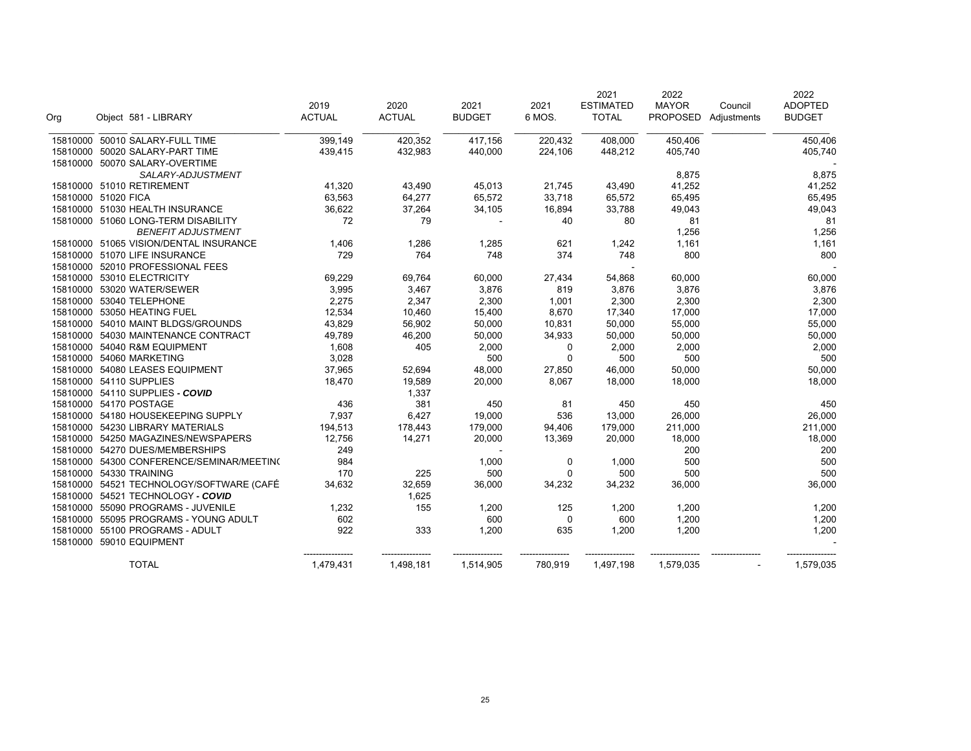|          |                                           |               |               |               |          | 2021             | 2022            |             | 2022           |
|----------|-------------------------------------------|---------------|---------------|---------------|----------|------------------|-----------------|-------------|----------------|
|          |                                           | 2019          | 2020          | 2021          | 2021     | <b>ESTIMATED</b> | <b>MAYOR</b>    | Council     | <b>ADOPTED</b> |
| Org      | Object 581 - LIBRARY                      | <b>ACTUAL</b> | <b>ACTUAL</b> | <b>BUDGET</b> | 6 MOS.   | <b>TOTAL</b>     | <b>PROPOSED</b> | Adjustments | <b>BUDGET</b>  |
| 15810000 | 50010 SALARY-FULL TIME                    | 399,149       | 420,352       | 417,156       | 220,432  | 408,000          | 450,406         |             | 450,406        |
|          | 15810000 50020 SALARY-PART TIME           | 439,415       | 432,983       | 440,000       | 224,106  | 448,212          | 405,740         |             | 405,740        |
|          | 15810000 50070 SALARY-OVERTIME            |               |               |               |          |                  |                 |             |                |
|          | SALARY-ADJUSTMENT                         |               |               |               |          |                  | 8,875           |             | 8,875          |
|          | 15810000 51010 RETIREMENT                 | 41,320        | 43,490        | 45,013        | 21,745   | 43,490           | 41,252          |             | 41,252         |
|          | 15810000 51020 FICA                       | 63,563        | 64,277        | 65,572        | 33,718   | 65,572           | 65,495          |             | 65,495         |
|          | 15810000 51030 HEALTH INSURANCE           | 36,622        | 37,264        | 34,105        | 16,894   | 33,788           | 49,043          |             | 49,043         |
|          | 15810000 51060 LONG-TERM DISABILITY       | 72            | 79            |               | 40       | 80               | 81              |             | 81             |
|          | <b>BENEFIT ADJUSTMENT</b>                 |               |               |               |          |                  | 1,256           |             | 1,256          |
|          | 15810000 51065 VISION/DENTAL INSURANCE    | 1,406         | 1,286         | 1,285         | 621      | 1,242            | 1,161           |             | 1,161          |
|          | 15810000 51070 LIFE INSURANCE             | 729           | 764           | 748           | 374      | 748              | 800             |             | 800            |
|          | 15810000 52010 PROFESSIONAL FEES          |               |               |               |          |                  |                 |             |                |
|          | 15810000 53010 ELECTRICITY                | 69,229        | 69,764        | 60,000        | 27,434   | 54,868           | 60,000          |             | 60,000         |
|          | 15810000 53020 WATER/SEWER                | 3,995         | 3,467         | 3,876         | 819      | 3,876            | 3,876           |             | 3,876          |
|          | 15810000 53040 TELEPHONE                  | 2,275         | 2,347         | 2,300         | 1,001    | 2,300            | 2,300           |             | 2,300          |
|          | 15810000 53050 HEATING FUEL               | 12,534        | 10,460        | 15,400        | 8,670    | 17,340           | 17,000          |             | 17,000         |
|          | 15810000 54010 MAINT BLDGS/GROUNDS        | 43,829        | 56,902        | 50,000        | 10,831   | 50,000           | 55,000          |             | 55,000         |
|          | 15810000 54030 MAINTENANCE CONTRACT       | 49,789        | 46,200        | 50,000        | 34,933   | 50,000           | 50,000          |             | 50,000         |
|          | 15810000 54040 R&M EQUIPMENT              | 1,608         | 405           | 2,000         | 0        | 2,000            | 2,000           |             | 2,000          |
|          | 15810000 54060 MARKETING                  | 3,028         |               | 500           | $\Omega$ | 500              | 500             |             | 500            |
|          | 15810000 54080 LEASES EQUIPMENT           | 37,965        | 52,694        | 48,000        | 27,850   | 46,000           | 50,000          |             | 50,000         |
|          | 15810000 54110 SUPPLIES                   | 18,470        | 19,589        | 20,000        | 8,067    | 18,000           | 18,000          |             | 18,000         |
|          | 15810000 54110 SUPPLIES - COVID           |               | 1,337         |               |          |                  |                 |             |                |
|          | 15810000 54170 POSTAGE                    | 436           | 381           | 450           | 81       | 450              | 450             |             | 450            |
|          | 15810000 54180 HOUSEKEEPING SUPPLY        | 7,937         | 6,427         | 19,000        | 536      | 13,000           | 26,000          |             | 26,000         |
|          | 15810000 54230 LIBRARY MATERIALS          | 194,513       | 178,443       | 179,000       | 94,406   | 179,000          | 211,000         |             | 211,000        |
|          | 15810000 54250 MAGAZINES/NEWSPAPERS       | 12,756        | 14,271        | 20,000        | 13,369   | 20,000           | 18,000          |             | 18,000         |
|          | 15810000 54270 DUES/MEMBERSHIPS           | 249           |               |               |          |                  | 200             |             | 200            |
|          | 15810000 54300 CONFERENCE/SEMINAR/MEETING | 984           |               | 1,000         | 0        | 1,000            | 500             |             | 500            |
|          | 15810000 54330 TRAINING                   | 170           | 225           | 500           | $\Omega$ | 500              | 500             |             | 500            |
|          | 15810000 54521 TECHNOLOGY/SOFTWARE (CAFÉ  | 34,632        | 32,659        | 36,000        | 34,232   | 34,232           | 36,000          |             | 36,000         |
|          | 15810000 54521 TECHNOLOGY - COVID         |               | 1,625         |               |          |                  |                 |             |                |
|          | 15810000 55090 PROGRAMS - JUVENILE        | 1,232         | 155           | 1,200         | 125      | 1,200            | 1,200           |             | 1,200          |
|          | 15810000 55095 PROGRAMS - YOUNG ADULT     | 602           |               | 600           | 0        | 600              | 1,200           |             | 1,200          |
| 15810000 | 55100 PROGRAMS - ADULT                    | 922           | 333           | 1,200         | 635      | 1,200            | 1,200           |             | 1,200          |
|          | 15810000 59010 EQUIPMENT                  |               |               |               |          |                  |                 |             |                |
|          | <b>TOTAL</b>                              | 1,479,431     | 1,498,181     | 1,514,905     | 780,919  | 1,497,198        | 1,579,035       |             | 1,579,035      |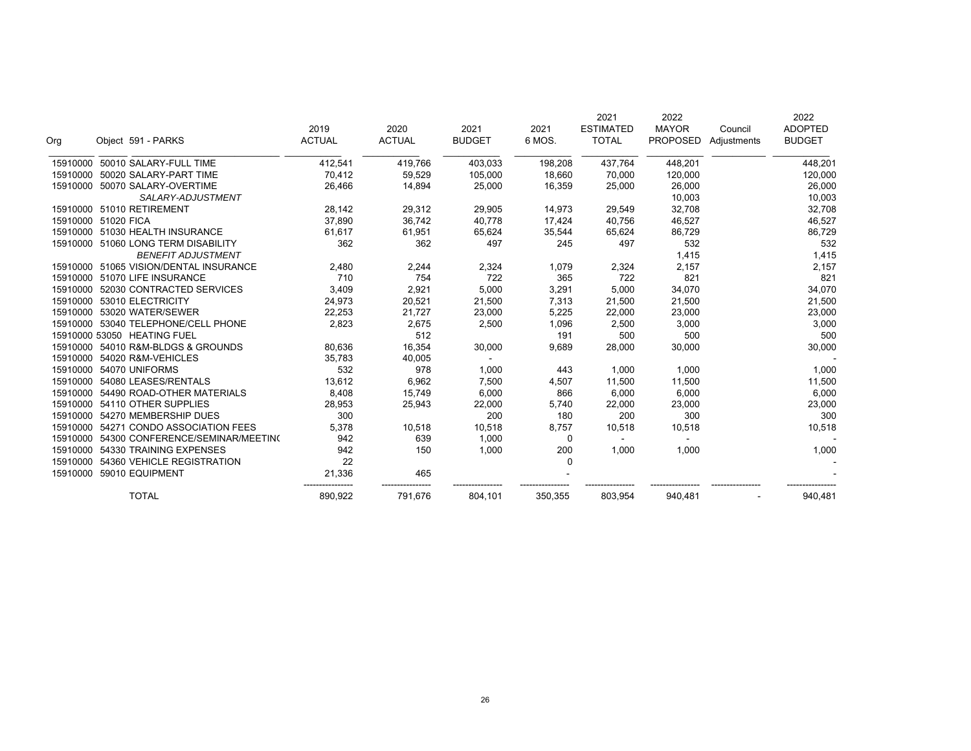| Org      | Object 591 - PARKS                     | 2019<br><b>ACTUAL</b> | 2020<br><b>ACTUAL</b> | 2021<br><b>BUDGET</b> | 2021<br>6 MOS. | 2021<br><b>ESTIMATED</b><br><b>TOTAL</b> | 2022<br><b>MAYOR</b><br><b>PROPOSED</b> | Council<br>Adjustments | 2022<br><b>ADOPTED</b><br><b>BUDGET</b> |
|----------|----------------------------------------|-----------------------|-----------------------|-----------------------|----------------|------------------------------------------|-----------------------------------------|------------------------|-----------------------------------------|
|          |                                        |                       |                       |                       |                |                                          |                                         |                        |                                         |
| 15910000 | 50010 SALARY-FULL TIME                 | 412,541               | 419,766               | 403,033               | 198,208        | 437,764                                  | 448,201                                 |                        | 448,201                                 |
| 15910000 | 50020 SALARY-PART TIME                 | 70,412                | 59,529                | 105,000               | 18,660         | 70,000                                   | 120,000                                 |                        | 120,000                                 |
| 15910000 | 50070 SALARY-OVERTIME                  | 26,466                | 14,894                | 25,000                | 16,359         | 25,000                                   | 26,000                                  |                        | 26,000                                  |
|          | SALARY-ADJUSTMENT                      |                       |                       |                       |                |                                          | 10,003                                  |                        | 10,003                                  |
|          | 15910000 51010 RETIREMENT              | 28,142                | 29,312                | 29,905                | 14,973         | 29,549                                   | 32,708                                  |                        | 32,708                                  |
|          | 15910000 51020 FICA                    | 37,890                | 36,742                | 40,778                | 17,424         | 40,756                                   | 46,527                                  |                        | 46,527                                  |
|          | 15910000 51030 HEALTH INSURANCE        | 61,617                | 61,951                | 65,624                | 35,544         | 65,624                                   | 86,729                                  |                        | 86,729                                  |
|          | 15910000 51060 LONG TERM DISABILITY    | 362                   | 362                   | 497                   | 245            | 497                                      | 532                                     |                        | 532                                     |
|          | <b>BENEFIT ADJUSTMENT</b>              |                       |                       |                       |                |                                          | 1,415                                   |                        | 1,415                                   |
|          | 15910000 51065 VISION/DENTAL INSURANCE | 2,480                 | 2,244                 | 2,324                 | 1,079          | 2,324                                    | 2,157                                   |                        | 2,157                                   |
|          | 15910000 51070 LIFE INSURANCE          | 710                   | 754                   | 722                   | 365            | 722                                      | 821                                     |                        | 821                                     |
| 15910000 | 52030 CONTRACTED SERVICES              | 3,409                 | 2,921                 | 5,000                 | 3,291          | 5,000                                    | 34,070                                  |                        | 34,070                                  |
| 15910000 | 53010 ELECTRICITY                      | 24,973                | 20,521                | 21,500                | 7,313          | 21,500                                   | 21,500                                  |                        | 21,500                                  |
| 15910000 | 53020 WATER/SEWER                      | 22,253                | 21,727                | 23,000                | 5,225          | 22,000                                   | 23,000                                  |                        | 23,000                                  |
| 15910000 | 53040 TELEPHONE/CELL PHONE             | 2,823                 | 2,675                 | 2,500                 | 1,096          | 2,500                                    | 3,000                                   |                        | 3,000                                   |
|          | 15910000 53050 HEATING FUEL            |                       | 512                   |                       | 191            | 500                                      | 500                                     |                        | 500                                     |
| 15910000 | 54010 R&M-BLDGS & GROUNDS              | 80,636                | 16,354                | 30,000                | 9,689          | 28,000                                   | 30,000                                  |                        | 30,000                                  |
| 15910000 | 54020 R&M-VEHICLES                     | 35,783                | 40,005                |                       |                |                                          |                                         |                        |                                         |
| 15910000 | 54070 UNIFORMS                         | 532                   | 978                   | 1,000                 | 443            | 1,000                                    | 1,000                                   |                        | 1,000                                   |
| 15910000 | 54080 LEASES/RENTALS                   | 13,612                | 6,962                 | 7,500                 | 4,507          | 11,500                                   | 11,500                                  |                        | 11,500                                  |
| 15910000 | 54490 ROAD-OTHER MATERIALS             | 8,408                 | 15,749                | 6,000                 | 866            | 6,000                                    | 6,000                                   |                        | 6,000                                   |
| 15910000 | 54110 OTHER SUPPLIES                   | 28,953                | 25,943                | 22,000                | 5,740          | 22,000                                   | 23,000                                  |                        | 23,000                                  |
| 15910000 | 54270 MEMBERSHIP DUES                  | 300                   |                       | 200                   | 180            | 200                                      | 300                                     |                        | 300                                     |
| 15910000 | 54271 CONDO ASSOCIATION FEES           | 5,378                 | 10,518                | 10,518                | 8,757          | 10,518                                   | 10,518                                  |                        | 10,518                                  |
| 15910000 | 54300 CONFERENCE/SEMINAR/MEETING       | 942                   | 639                   | 1,000                 | 0              |                                          |                                         |                        |                                         |
| 15910000 | 54330 TRAINING EXPENSES                | 942                   | 150                   | 1,000                 | 200            | 1,000                                    | 1,000                                   |                        | 1,000                                   |
| 15910000 | 54360 VEHICLE REGISTRATION             | 22                    |                       |                       | 0              |                                          |                                         |                        |                                         |
|          | 15910000 59010 EQUIPMENT               | 21,336                | 465                   |                       |                |                                          |                                         |                        |                                         |
|          | <b>TOTAL</b>                           | 890,922               | 791,676               | 804,101               | 350,355        | 803,954                                  | 940,481                                 |                        | 940,481                                 |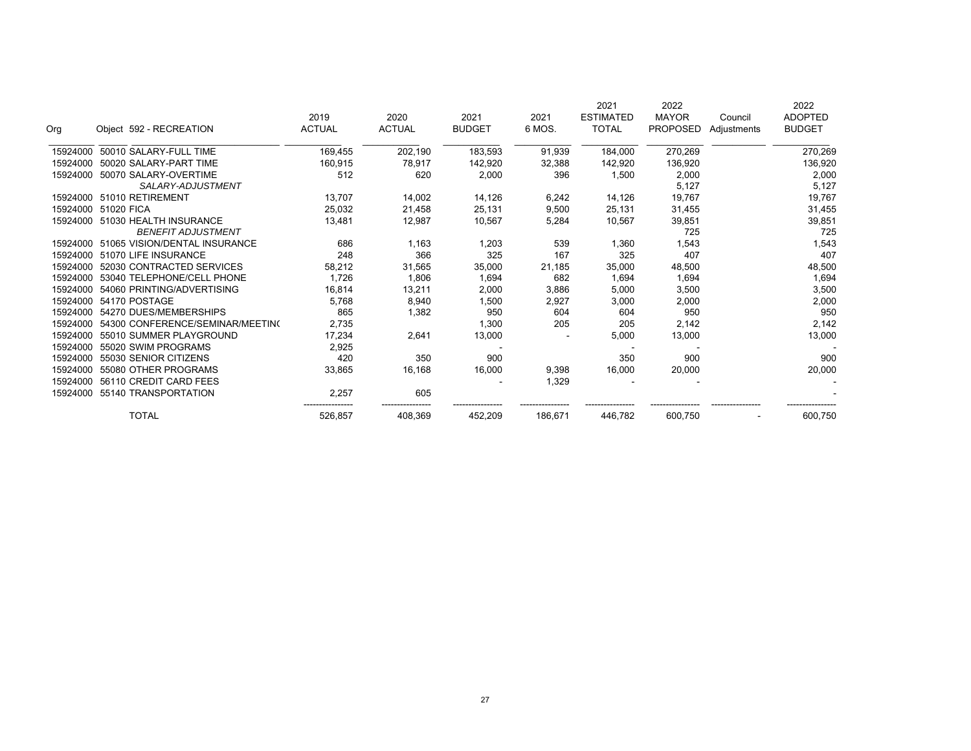| Org      | Object 592 - RECREATION          | 2019<br><b>ACTUAL</b> | 2020<br><b>ACTUAL</b> | 2021<br><b>BUDGET</b> | 2021<br>6 MOS. | 2021<br><b>ESTIMATED</b><br><b>TOTAL</b> | 2022<br><b>MAYOR</b><br><b>PROPOSED</b> | Council<br>Adjustments | 2022<br><b>ADOPTED</b><br><b>BUDGET</b> |
|----------|----------------------------------|-----------------------|-----------------------|-----------------------|----------------|------------------------------------------|-----------------------------------------|------------------------|-----------------------------------------|
| 15924000 | 50010 SALARY-FULL TIME           | 169,455               | 202,190               | 183,593               | 91,939         | 184,000                                  | 270,269                                 |                        | 270,269                                 |
| 15924000 | 50020 SALARY-PART TIME           | 160,915               | 78.917                | 142,920               | 32,388         | 142,920                                  | 136,920                                 |                        | 136,920                                 |
| 15924000 | 50070 SALARY-OVERTIME            | 512                   | 620                   | 2,000                 | 396            | 1,500                                    | 2,000                                   |                        | 2,000                                   |
|          | SALARY-ADJUSTMENT                |                       |                       |                       |                |                                          | 5,127                                   |                        | 5,127                                   |
|          | 15924000 51010 RETIREMENT        | 13,707                | 14,002                | 14,126                | 6,242          | 14,126                                   | 19,767                                  |                        | 19,767                                  |
| 15924000 | 51020 FICA                       | 25,032                | 21,458                | 25,131                | 9,500          | 25,131                                   | 31,455                                  |                        | 31,455                                  |
| 15924000 | 51030 HEALTH INSURANCE           | 13,481                | 12,987                | 10,567                | 5,284          | 10,567                                   | 39,851                                  |                        | 39,851                                  |
|          | <b>BENEFIT ADJUSTMENT</b>        |                       |                       |                       |                |                                          | 725                                     |                        | 725                                     |
| 15924000 | 51065 VISION/DENTAL INSURANCE    | 686                   | 1,163                 | 1,203                 | 539            | 1,360                                    | 1,543                                   |                        | 1,543                                   |
| 15924000 | 51070 LIFE INSURANCE             | 248                   | 366                   | 325                   | 167            | 325                                      | 407                                     |                        | 407                                     |
| 15924000 | 52030 CONTRACTED SERVICES        | 58,212                | 31,565                | 35,000                | 21,185         | 35,000                                   | 48,500                                  |                        | 48,500                                  |
| 15924000 | 53040 TELEPHONE/CELL PHONE       | 1,726                 | 1,806                 | 1,694                 | 682            | 1,694                                    | 1,694                                   |                        | 1,694                                   |
| 15924000 | 54060 PRINTING/ADVERTISING       | 16,814                | 13,211                | 2,000                 | 3,886          | 5,000                                    | 3,500                                   |                        | 3,500                                   |
| 15924000 | 54170 POSTAGE                    | 5,768                 | 8,940                 | 1,500                 | 2,927          | 3,000                                    | 2,000                                   |                        | 2,000                                   |
| 15924000 | 54270 DUES/MEMBERSHIPS           | 865                   | 1,382                 | 950                   | 604            | 604                                      | 950                                     |                        | 950                                     |
| 15924000 | 54300 CONFERENCE/SEMINAR/MEETING | 2,735                 |                       | 1,300                 | 205            | 205                                      | 2,142                                   |                        | 2,142                                   |
| 15924000 | 55010 SUMMER PLAYGROUND          | 17.234                | 2,641                 | 13,000                |                | 5,000                                    | 13,000                                  |                        | 13,000                                  |
| 15924000 | 55020 SWIM PROGRAMS              | 2,925                 |                       |                       |                |                                          |                                         |                        |                                         |
| 15924000 | 55030 SENIOR CITIZENS            | 420                   | 350                   | 900                   |                | 350                                      | 900                                     |                        | 900                                     |
| 15924000 | 55080 OTHER PROGRAMS             | 33,865                | 16,168                | 16,000                | 9,398          | 16,000                                   | 20,000                                  |                        | 20,000                                  |
| 15924000 | 56110 CREDIT CARD FEES           |                       |                       |                       | 1,329          |                                          |                                         |                        |                                         |
| 15924000 | 55140 TRANSPORTATION             | 2,257                 | 605                   |                       |                |                                          |                                         |                        |                                         |
|          | <b>TOTAL</b>                     | 526,857               | 408,369               | 452,209               | 186,671        | 446,782                                  | 600,750                                 |                        | 600,750                                 |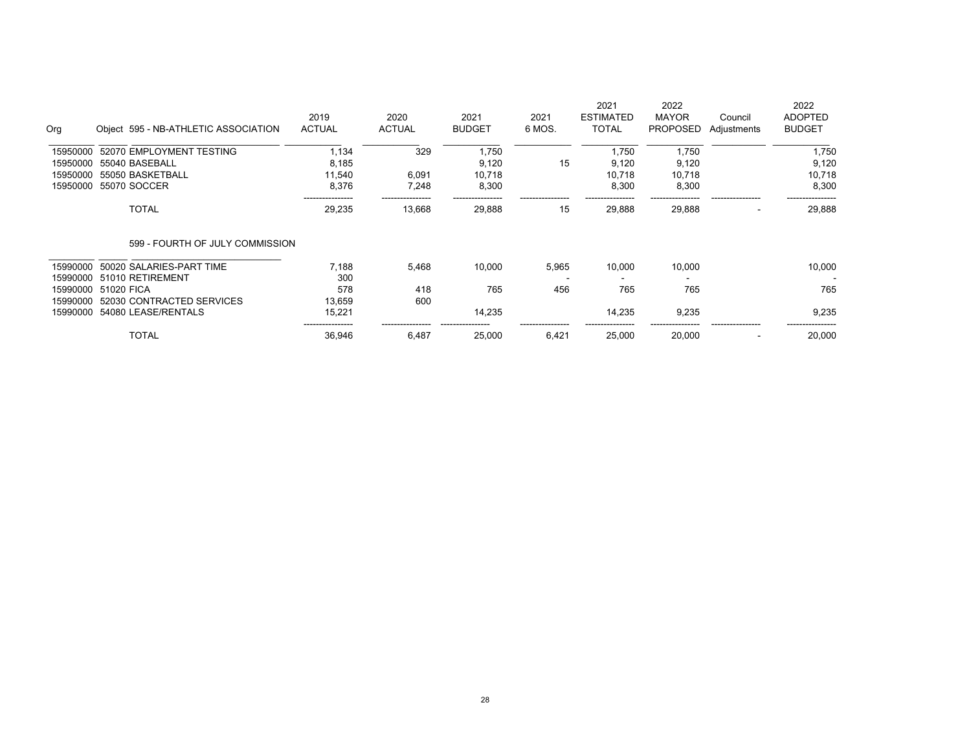| Org      | Object 595 - NB-ATHLETIC ASSOCIATION | 2019<br><b>ACTUAL</b>      | 2020<br><b>ACTUAL</b> | 2021<br><b>BUDGET</b> | 2021<br>6 MOS. | 2021<br><b>ESTIMATED</b><br><b>TOTAL</b> | 2022<br><b>MAYOR</b><br><b>PROPOSED</b> | Council<br>Adjustments | 2022<br><b>ADOPTED</b><br><b>BUDGET</b> |
|----------|--------------------------------------|----------------------------|-----------------------|-----------------------|----------------|------------------------------------------|-----------------------------------------|------------------------|-----------------------------------------|
| 15950000 | 52070 EMPLOYMENT TESTING             | 1.134                      | 329                   | 1,750                 |                | 1.750                                    | 1,750                                   |                        | 1,750                                   |
| 15950000 | 55040 BASEBALL                       | 8,185                      |                       | 9,120                 | 15             | 9,120                                    | 9,120                                   |                        | 9,120                                   |
| 15950000 | 55050 BASKETBALL                     | 11.540                     | 6,091                 | 10.718                |                | 10.718                                   | 10,718                                  |                        | 10,718                                  |
| 15950000 | 55070 SOCCER                         | 8,376                      | 7,248                 | 8,300                 |                | 8,300                                    | 8,300                                   |                        | 8,300                                   |
|          | <b>TOTAL</b>                         | ----------------<br>29,235 | 13,668                | --------<br>29,888    | 15             | 29,888                                   | 29,888                                  |                        | 29,888                                  |
|          | 599 - FOURTH OF JULY COMMISSION      |                            |                       |                       |                |                                          |                                         |                        |                                         |
| 15990000 | 50020 SALARIES-PART TIME             | 7,188                      | 5,468                 | 10,000                | 5,965          | 10,000                                   | 10,000                                  |                        | 10,000                                  |
| 15990000 | 51010 RETIREMENT                     | 300                        |                       |                       |                |                                          |                                         |                        |                                         |
| 15990000 | 51020 FICA                           | 578                        | 418                   | 765                   | 456            | 765                                      | 765                                     |                        | 765                                     |
| 15990000 | 52030 CONTRACTED SERVICES            | 13.659                     | 600                   |                       |                |                                          |                                         |                        |                                         |
| 15990000 | 54080 LEASE/RENTALS                  | 15,221                     |                       | 14,235                |                | 14,235                                   | 9,235                                   |                        | 9,235                                   |
|          | <b>TOTAL</b>                         | _________<br>36,946        | 6,487                 | 25,000                | 6.421          | 25,000                                   | 20,000                                  |                        | 20,000                                  |